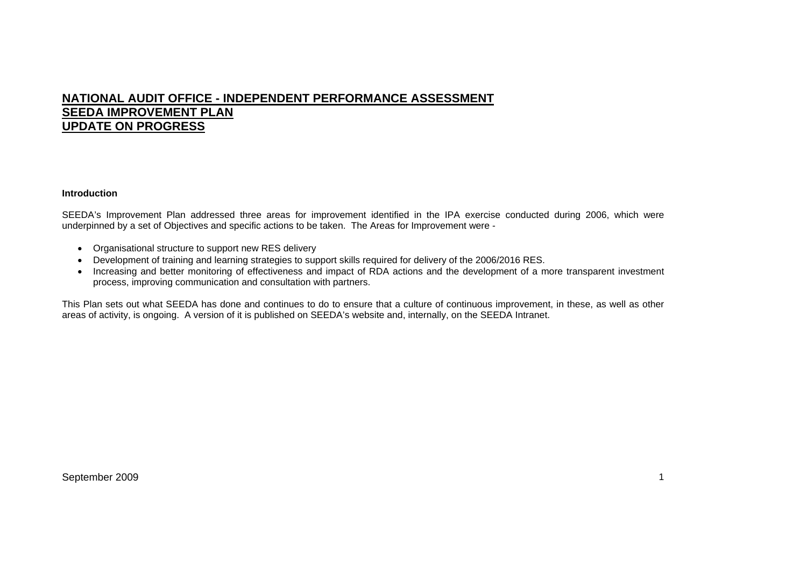# **NATIONAL AUDIT OFFICE - INDEPENDENT PERFORMANCE ASSESSMENT SEEDA IMPROVEMENT PLAN UPDATE ON PROGRESS**

#### **Introduction**

SEEDA's Improvement Plan addressed three areas for improvement identified in the IPA exercise conducted during 2006, which were underpinned by a set of Objectives and specific actions to be taken. The Areas for Improvement were -

- Organisational structure to support new RES delivery
- Development of training and learning strategies to support skills required for delivery of the 2006/2016 RES.
- Increasing and better monitoring of effectiveness and impact of RDA actions and the development of a more transparent investment process, improving communication and consultation with partners.

This Plan sets out what SEEDA has done and continues to do to ensure that a culture of continuous improvement, in these, as well as other areas of activity, is ongoing. A version of it is published on SEEDA's website and, internally, on the SEEDA Intranet.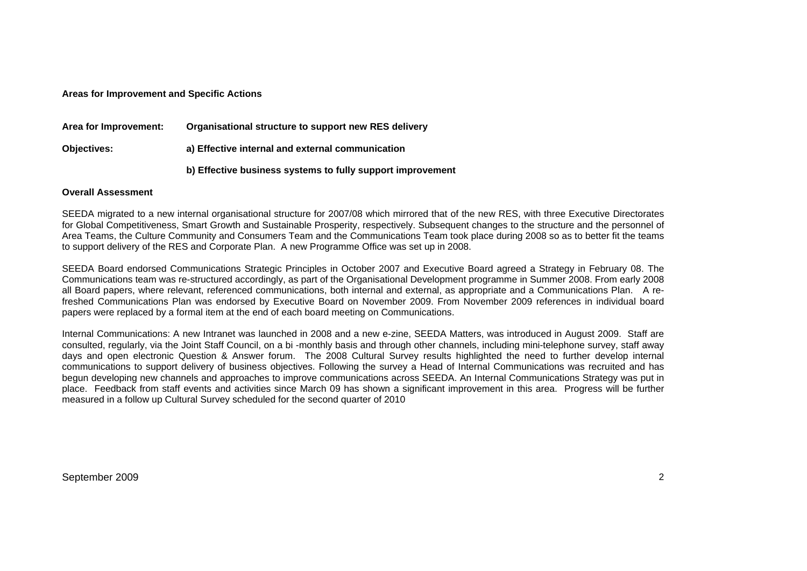### **Areas for Improvement and Specific Actions**

| Area for Improvement: | Organisational structure to support new RES delivery       |
|-----------------------|------------------------------------------------------------|
| <b>Objectives:</b>    | a) Effective internal and external communication           |
|                       | b) Effective business systems to fully support improvement |

#### **Overall Assessment**

SEEDA migrated to a new internal organisational structure for 2007/08 which mirrored that of the new RES, with three Executive Directorates for Global Competitiveness, Smart Growth and Sustainable Prosperity, respectively. Subsequent changes to the structure and the personnel of Area Teams, the Culture Community and Consumers Team and the Communications Team took place during 2008 so as to better fit the teams to support delivery of the RES and Corporate Plan. A new Programme Office was set up in 2008.

SEEDA Board endorsed Communications Strategic Principles in October 2007 and Executive Board agreed a Strategy in February 08. The Communications team was re-structured accordingly, as part of the Organisational Development programme in Summer 2008. From early 2008 all Board papers, where relevant, referenced communications, both internal and external, as appropriate and a Communications Plan. A refreshed Communications Plan was endorsed by Executive Board on November 2009. From November 2009 references in individual board papers were replaced by a formal item at the end of each board meeting on Communications.

Internal Communications: A new Intranet was launched in 2008 and a new e-zine, SEEDA Matters, was introduced in August 2009. Staff are consulted, regularly, via the Joint Staff Council, on a bi -monthly basis and through other channels, including mini-telephone survey, staff away days and open electronic Question & Answer forum. The 2008 Cultural Survey results highlighted the need to further develop internal communications to support delivery of business objectives. Following the survey a Head of Internal Communications was recruited and has begun developing new channels and approaches to improve communications across SEEDA. An Internal Communications Strategy was put in place. Feedback from staff events and activities since March 09 has shown a significant improvement in this area. Progress will be further measured in a follow up Cultural Survey scheduled for the second quarter of 2010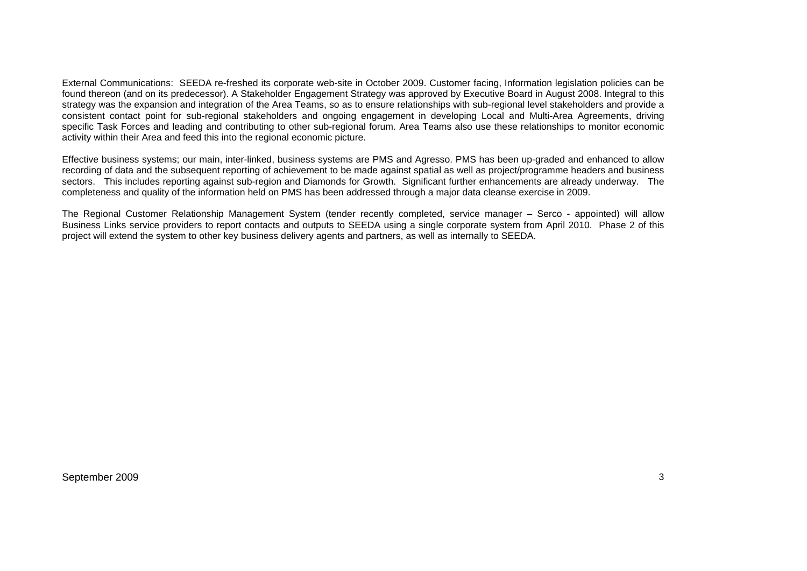External Communications: SEEDA re-freshed its corporate web-site in October 2009. Customer facing, Information legislation policies can be found thereon (and on its predecessor). A Stakeholder Engagement Strategy was approved by Executive Board in August 2008. Integral to this strategy was the expansion and integration of the Area Teams, so as to ensure relationships with sub-regional level stakeholders and provide a consistent contact point for sub-regional stakeholders and ongoing engagement in developing Local and Multi-Area Agreements, driving specific Task Forces and leading and contributing to other sub-regional forum. Area Teams also use these relationships to monitor economic activity within their Area and feed this into the regional economic picture.

Effective business systems; our main, inter-linked, business systems are PMS and Agresso. PMS has been up-graded and enhanced to allow recording of data and the subsequent reporting of achievement to be made against spatial as well as project/programme headers and business sectors. This includes reporting against sub-region and Diamonds for Growth. Significant further enhancements are already underway. The completeness and quality of the information held on PMS has been addressed through a major data cleanse exercise in 2009.

The Regional Customer Relationship Management System (tender recently completed, service manager – Serco - appointed) will allow Business Links service providers to report contacts and outputs to SEEDA using a single corporate system from April 2010. Phase 2 of this project will extend the system to other key business delivery agents and partners, as well as internally to SEEDA.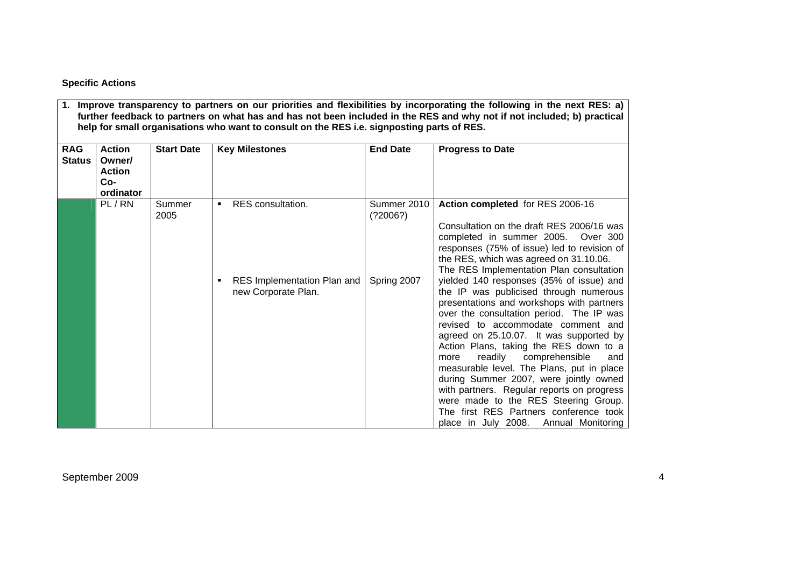# **Specific Actions**

| <b>RAG</b><br><b>Status</b> | <b>Action</b><br>Owner/<br><b>Action</b><br>$Co-$<br>ordinator | <b>Start Date</b> | <b>Key Milestones</b>                              | <b>End Date</b>         | <b>Progress to Date</b>                                                                                                                                                                                                                                                                                                                                                                                                                                                                                                                                                                                         |
|-----------------------------|----------------------------------------------------------------|-------------------|----------------------------------------------------|-------------------------|-----------------------------------------------------------------------------------------------------------------------------------------------------------------------------------------------------------------------------------------------------------------------------------------------------------------------------------------------------------------------------------------------------------------------------------------------------------------------------------------------------------------------------------------------------------------------------------------------------------------|
|                             | PL/RN                                                          | Summer<br>2005    | RES consultation.<br>٠                             | Summer 2010<br>(22006?) | Action completed for RES 2006-16<br>Consultation on the draft RES 2006/16 was<br>completed in summer 2005.<br>Over 300<br>responses (75% of issue) led to revision of<br>the RES, which was agreed on 31.10.06.<br>The RES Implementation Plan consultation                                                                                                                                                                                                                                                                                                                                                     |
|                             |                                                                |                   | RES Implementation Plan and<br>new Corporate Plan. | Spring 2007             | yielded 140 responses (35% of issue) and<br>the IP was publicised through numerous<br>presentations and workshops with partners<br>over the consultation period. The IP was<br>revised to accommodate comment and<br>agreed on 25.10.07. It was supported by<br>Action Plans, taking the RES down to a<br>readily comprehensible<br>more<br>and<br>measurable level. The Plans, put in place<br>during Summer 2007, were jointly owned<br>with partners. Regular reports on progress<br>were made to the RES Steering Group.<br>The first RES Partners conference took<br>place in July 2008. Annual Monitoring |

**1. Improve transparency to partners on our priorities and flexibilities by incorporating the following in the next RES: a)**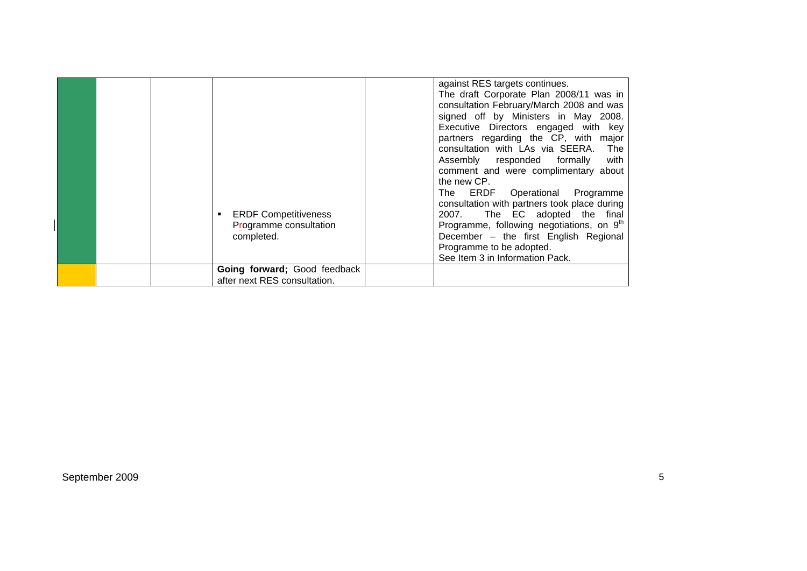|  | <b>ERDF Competitiveness</b><br>Programme consultation<br>completed.<br>Going forward; Good feedback | against RES targets continues.<br>The draft Corporate Plan 2008/11 was in<br>consultation February/March 2008 and was<br>signed off by Ministers in May 2008.<br>Executive Directors engaged with key<br>partners regarding the CP, with major<br>consultation with LAs via SEERA. The<br>with<br>Assembly responded formally<br>comment and were complimentary about<br>the new CP.<br>The ERDF Operational Programme<br>consultation with partners took place during<br>The EC adopted the final<br>2007.<br>Programme, following negotiations, on 9 <sup>th</sup><br>December - the first English Regional<br>Programme to be adopted.<br>See Item 3 in Information Pack. |
|--|-----------------------------------------------------------------------------------------------------|------------------------------------------------------------------------------------------------------------------------------------------------------------------------------------------------------------------------------------------------------------------------------------------------------------------------------------------------------------------------------------------------------------------------------------------------------------------------------------------------------------------------------------------------------------------------------------------------------------------------------------------------------------------------------|
|  | after next RES consultation.                                                                        |                                                                                                                                                                                                                                                                                                                                                                                                                                                                                                                                                                                                                                                                              |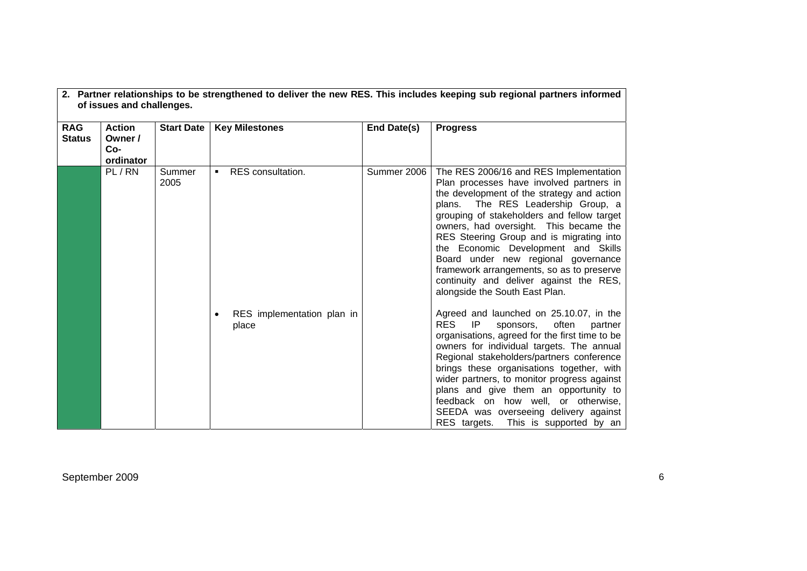|                             | or issues and challenges.                    |                   |                                     |             |                                                                                                                                                                                                                                                                                                                                                                                                                                                                                                                    |  |  |
|-----------------------------|----------------------------------------------|-------------------|-------------------------------------|-------------|--------------------------------------------------------------------------------------------------------------------------------------------------------------------------------------------------------------------------------------------------------------------------------------------------------------------------------------------------------------------------------------------------------------------------------------------------------------------------------------------------------------------|--|--|
| <b>RAG</b><br><b>Status</b> | <b>Action</b><br>Owner /<br>Co-<br>ordinator | <b>Start Date</b> | <b>Key Milestones</b>               | End Date(s) | <b>Progress</b>                                                                                                                                                                                                                                                                                                                                                                                                                                                                                                    |  |  |
|                             | PL/RN                                        | Summer<br>2005    | <b>RES</b> consultation.<br>٠       | Summer 2006 | The RES 2006/16 and RES Implementation<br>Plan processes have involved partners in<br>the development of the strategy and action<br>plans. The RES Leadership Group, a<br>grouping of stakeholders and fellow target<br>owners, had oversight. This became the<br>RES Steering Group and is migrating into<br>the Economic Development and Skills<br>Board under new regional governance<br>framework arrangements, so as to preserve<br>continuity and deliver against the RES,<br>alongside the South East Plan. |  |  |
|                             |                                              |                   | RES implementation plan in<br>place |             | Agreed and launched on 25.10.07, in the<br><b>RES</b><br>IP<br>sponsors, often<br>partner<br>organisations, agreed for the first time to be<br>owners for individual targets. The annual<br>Regional stakeholders/partners conference<br>brings these organisations together, with<br>wider partners, to monitor progress against<br>plans and give them an opportunity to<br>feedback on how well, or otherwise,<br>SEEDA was overseeing delivery against<br>RES targets. This is supported by an                 |  |  |

**2. Partner relationships to be strengthened to deliver the new RES. This includes keeping sub regional partners informed of issues and challenges.**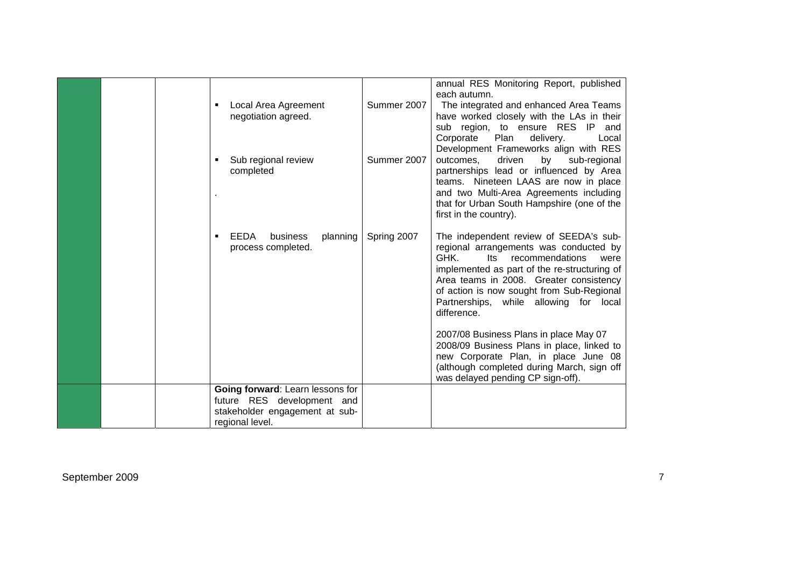|  | Local Area Agreement<br>negotiation agreed.                                                                         | Summer 2007 | annual RES Monitoring Report, published<br>each autumn.<br>The integrated and enhanced Area Teams<br>have worked closely with the LAs in their<br>sub region, to ensure RES IP<br>and<br>Corporate<br>Plan<br>delivery.<br>Local<br>Development Frameworks align with RES                                                |
|--|---------------------------------------------------------------------------------------------------------------------|-------------|--------------------------------------------------------------------------------------------------------------------------------------------------------------------------------------------------------------------------------------------------------------------------------------------------------------------------|
|  | Sub regional review<br>completed                                                                                    | Summer 2007 | outcomes,<br>driven<br>by<br>sub-regional<br>partnerships lead or influenced by Area<br>teams. Nineteen LAAS are now in place<br>and two Multi-Area Agreements including<br>that for Urban South Hampshire (one of the<br>first in the country).                                                                         |
|  | EEDA<br>business<br>planning<br>process completed.                                                                  | Spring 2007 | The independent review of SEEDA's sub-<br>regional arrangements was conducted by<br>GHK.<br>Its recommendations<br>were<br>implemented as part of the re-structuring of<br>Area teams in 2008. Greater consistency<br>of action is now sought from Sub-Regional<br>Partnerships, while allowing for local<br>difference. |
|  |                                                                                                                     |             | 2007/08 Business Plans in place May 07<br>2008/09 Business Plans in place, linked to<br>new Corporate Plan, in place June 08<br>(although completed during March, sign off<br>was delayed pending CP sign-off).                                                                                                          |
|  | Going forward: Learn lessons for<br>future RES development and<br>stakeholder engagement at sub-<br>regional level. |             |                                                                                                                                                                                                                                                                                                                          |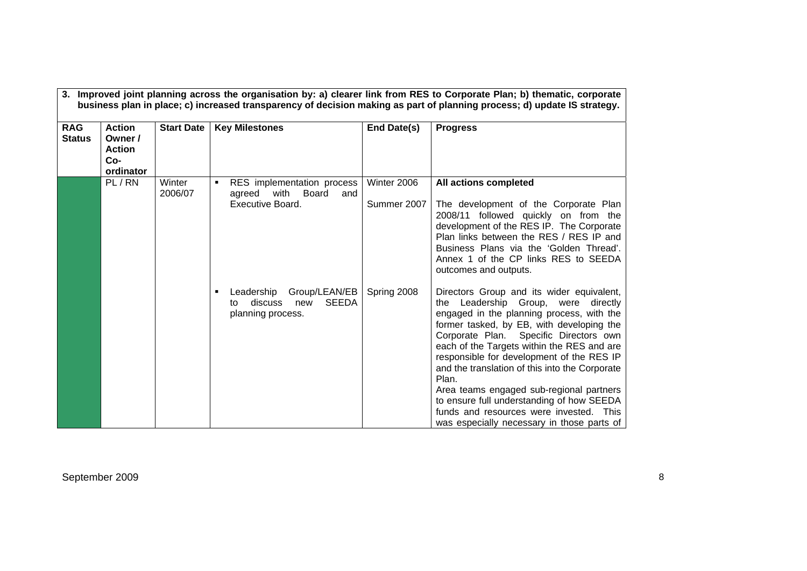| <b>RAG</b><br><b>Status</b> | <b>Action</b><br>Owner /<br><b>Action</b><br>Co-<br>ordinator | <b>Start Date</b> | <b>Key Milestones</b>                                                                    | End Date(s) | <b>Progress</b>                                                                                                                                                                                                                                                                                                                                                                                                                                                                                                                                              |
|-----------------------------|---------------------------------------------------------------|-------------------|------------------------------------------------------------------------------------------|-------------|--------------------------------------------------------------------------------------------------------------------------------------------------------------------------------------------------------------------------------------------------------------------------------------------------------------------------------------------------------------------------------------------------------------------------------------------------------------------------------------------------------------------------------------------------------------|
|                             | PL/RN                                                         | Winter<br>2006/07 | RES implementation process<br>٠<br>agreed with<br>Board<br>and                           | Winter 2006 | All actions completed                                                                                                                                                                                                                                                                                                                                                                                                                                                                                                                                        |
|                             |                                                               |                   | Executive Board.                                                                         | Summer 2007 | The development of the Corporate Plan<br>2008/11 followed quickly on from the<br>development of the RES IP. The Corporate<br>Plan links between the RES / RES IP and<br>Business Plans via the 'Golden Thread'.<br>Annex 1 of the CP links RES to SEEDA<br>outcomes and outputs.                                                                                                                                                                                                                                                                             |
|                             |                                                               |                   | Leadership<br>Group/LEAN/EB<br><b>SEEDA</b><br>discuss<br>new<br>to<br>planning process. | Spring 2008 | Directors Group and its wider equivalent,<br>the Leadership Group, were directly<br>engaged in the planning process, with the<br>former tasked, by EB, with developing the<br>Corporate Plan. Specific Directors own<br>each of the Targets within the RES and are<br>responsible for development of the RES IP<br>and the translation of this into the Corporate<br>Plan.<br>Area teams engaged sub-regional partners<br>to ensure full understanding of how SEEDA<br>funds and resources were invested. This<br>was especially necessary in those parts of |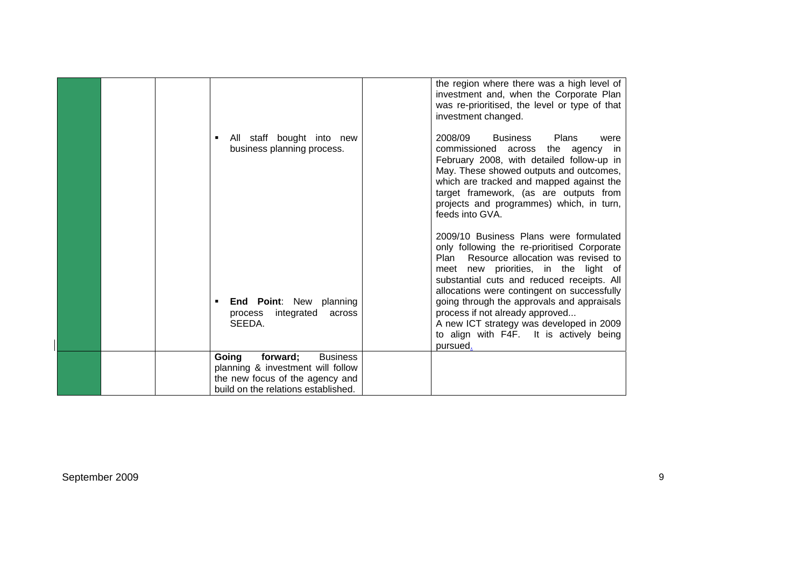|                                                                                                                                                     | the region where there was a high level of<br>investment and, when the Corporate Plan<br>was re-prioritised, the level or type of that<br>investment changed.                                                                                                                                                                                             |
|-----------------------------------------------------------------------------------------------------------------------------------------------------|-----------------------------------------------------------------------------------------------------------------------------------------------------------------------------------------------------------------------------------------------------------------------------------------------------------------------------------------------------------|
| All staff bought into new<br>٠<br>business planning process.                                                                                        | 2008/09<br>Business Plans<br>were<br>commissioned across the agency in<br>February 2008, with detailed follow-up in<br>May. These showed outputs and outcomes,<br>which are tracked and mapped against the<br>target framework, (as are outputs from<br>projects and programmes) which, in turn,<br>feeds into GVA.                                       |
| <b>End Point:</b> New planning<br>٠<br>integrated<br>process<br>across                                                                              | 2009/10 Business Plans were formulated<br>only following the re-prioritised Corporate<br>Resource allocation was revised to<br>Plan<br>meet new priorities, in the light of<br>substantial cuts and reduced receipts. All<br>allocations were contingent on successfully<br>going through the approvals and appraisals<br>process if not already approved |
| SEEDA.                                                                                                                                              | A new ICT strategy was developed in 2009<br>to align with F4F. It is actively being<br>pursued.                                                                                                                                                                                                                                                           |
| Going<br><b>Business</b><br>forward;<br>planning & investment will follow<br>the new focus of the agency and<br>build on the relations established. |                                                                                                                                                                                                                                                                                                                                                           |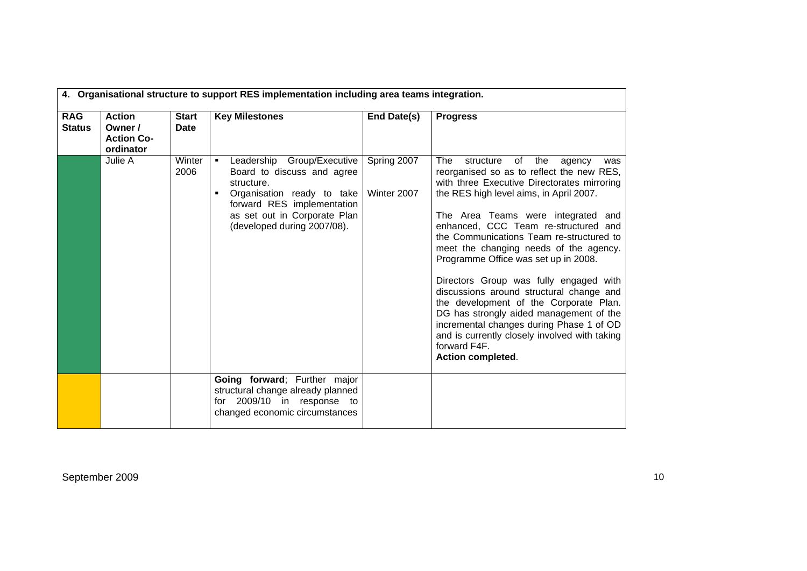|                             | 4. Organisational structure to support RES implementation including area teams integration. |                             |                                                                                                                                                                                                        |                            |                                                                                                                                                                                                                                                                                                                                                                                                                                                                                                                                                                                                                                                                                                                |  |
|-----------------------------|---------------------------------------------------------------------------------------------|-----------------------------|--------------------------------------------------------------------------------------------------------------------------------------------------------------------------------------------------------|----------------------------|----------------------------------------------------------------------------------------------------------------------------------------------------------------------------------------------------------------------------------------------------------------------------------------------------------------------------------------------------------------------------------------------------------------------------------------------------------------------------------------------------------------------------------------------------------------------------------------------------------------------------------------------------------------------------------------------------------------|--|
| <b>RAG</b><br><b>Status</b> | <b>Action</b><br>Owner /<br><b>Action Co-</b><br>ordinator                                  | <b>Start</b><br><b>Date</b> | <b>Key Milestones</b>                                                                                                                                                                                  | End Date(s)                | <b>Progress</b>                                                                                                                                                                                                                                                                                                                                                                                                                                                                                                                                                                                                                                                                                                |  |
|                             | Julie A                                                                                     | Winter<br>2006              | Leadership Group/Executive<br>٠<br>Board to discuss and agree<br>structure.<br>Organisation ready to take<br>forward RES implementation<br>as set out in Corporate Plan<br>(developed during 2007/08). | Spring 2007<br>Winter 2007 | The<br>structure<br>of<br>the<br>agency<br>was<br>reorganised so as to reflect the new RES,<br>with three Executive Directorates mirroring<br>the RES high level aims, in April 2007.<br>The Area Teams were integrated and<br>enhanced, CCC Team re-structured and<br>the Communications Team re-structured to<br>meet the changing needs of the agency.<br>Programme Office was set up in 2008.<br>Directors Group was fully engaged with<br>discussions around structural change and<br>the development of the Corporate Plan.<br>DG has strongly aided management of the<br>incremental changes during Phase 1 of OD<br>and is currently closely involved with taking<br>forward F4F.<br>Action completed. |  |
|                             |                                                                                             |                             | Going forward; Further major<br>structural change already planned<br>for 2009/10 in response to<br>changed economic circumstances                                                                      |                            |                                                                                                                                                                                                                                                                                                                                                                                                                                                                                                                                                                                                                                                                                                                |  |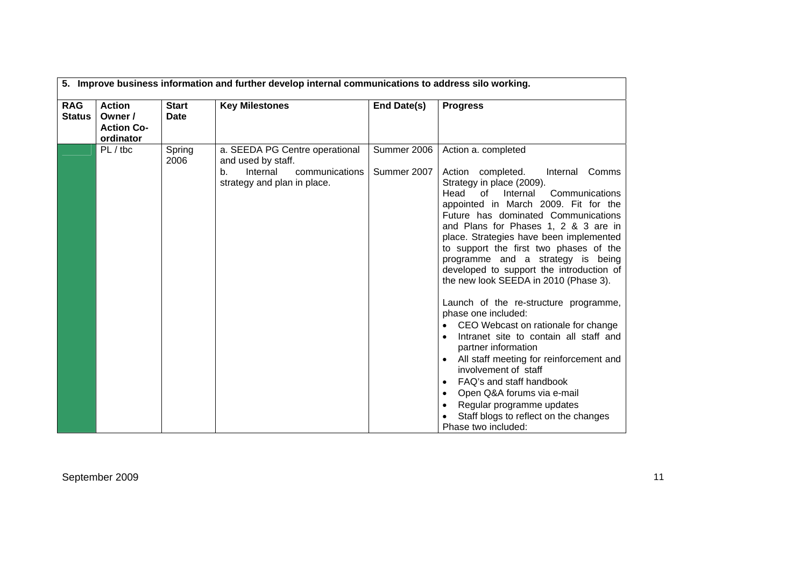| 5. Improve business information and further develop internal communications to address silo working. |                             |                                                                                                                              |                            |                                                                                                                                                                                                                                                                                                                                                                                                                                                                                                                                                                                                                                                                                                                                                                                                                                                                                                       |  |  |
|------------------------------------------------------------------------------------------------------|-----------------------------|------------------------------------------------------------------------------------------------------------------------------|----------------------------|-------------------------------------------------------------------------------------------------------------------------------------------------------------------------------------------------------------------------------------------------------------------------------------------------------------------------------------------------------------------------------------------------------------------------------------------------------------------------------------------------------------------------------------------------------------------------------------------------------------------------------------------------------------------------------------------------------------------------------------------------------------------------------------------------------------------------------------------------------------------------------------------------------|--|--|
| <b>RAG</b><br><b>Action</b><br><b>Status</b><br>Owner /<br><b>Action Co-</b><br>ordinator            | <b>Start</b><br><b>Date</b> | <b>Key Milestones</b>                                                                                                        | End Date(s)                | <b>Progress</b>                                                                                                                                                                                                                                                                                                                                                                                                                                                                                                                                                                                                                                                                                                                                                                                                                                                                                       |  |  |
| $PL /$ tbc                                                                                           | Spring<br>2006              | a. SEEDA PG Centre operational<br>and used by staff.<br>$b_{-}$<br>Internal<br>communications<br>strategy and plan in place. | Summer 2006<br>Summer 2007 | Action a. completed<br>Action completed.<br>Internal Comms<br>Strategy in place (2009).<br>Communications<br>Head<br>Internal<br>of<br>appointed in March 2009. Fit for the<br>Future has dominated Communications<br>and Plans for Phases 1, 2 & 3 are in<br>place. Strategies have been implemented<br>to support the first two phases of the<br>programme and a strategy is being<br>developed to support the introduction of<br>the new look SEEDA in 2010 (Phase 3).<br>Launch of the re-structure programme,<br>phase one included:<br>CEO Webcast on rationale for change<br>Intranet site to contain all staff and<br>$\bullet$<br>partner information<br>All staff meeting for reinforcement and<br>involvement of staff<br>FAQ's and staff handbook<br>Open Q&A forums via e-mail<br>$\bullet$<br>Regular programme updates<br>Staff blogs to reflect on the changes<br>Phase two included: |  |  |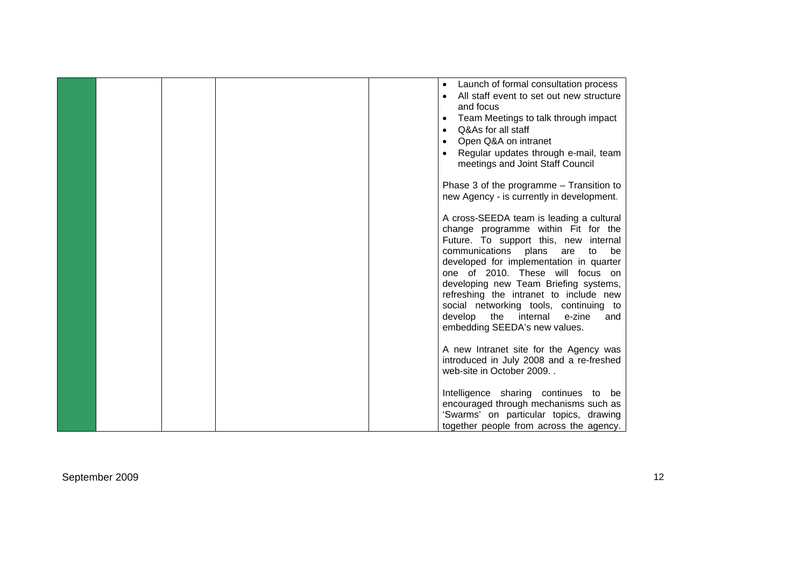|  |  | Launch of formal consultation process<br>$\bullet$<br>All staff event to set out new structure<br>and focus<br>Team Meetings to talk through impact<br>$\bullet$<br>Q&As for all staff<br>Open Q&A on intranet<br>Regular updates through e-mail, team<br>meetings and Joint Staff Council                                                                                                                                                                   |
|--|--|--------------------------------------------------------------------------------------------------------------------------------------------------------------------------------------------------------------------------------------------------------------------------------------------------------------------------------------------------------------------------------------------------------------------------------------------------------------|
|  |  | Phase 3 of the programme $-$ Transition to<br>new Agency - is currently in development.                                                                                                                                                                                                                                                                                                                                                                      |
|  |  | A cross-SEEDA team is leading a cultural<br>change programme within Fit for the<br>Future. To support this, new internal<br>communications plans<br>are<br>to<br>be<br>developed for implementation in quarter<br>one of 2010. These will focus on<br>developing new Team Briefing systems,<br>refreshing the intranet to include new<br>social networking tools, continuing to<br>develop<br>the internal<br>e-zine<br>and<br>embedding SEEDA's new values. |
|  |  | A new Intranet site for the Agency was<br>introduced in July 2008 and a re-freshed<br>web-site in October 2009.                                                                                                                                                                                                                                                                                                                                              |
|  |  | Intelligence sharing continues to be<br>encouraged through mechanisms such as<br>'Swarms' on particular topics, drawing<br>together people from across the agency.                                                                                                                                                                                                                                                                                           |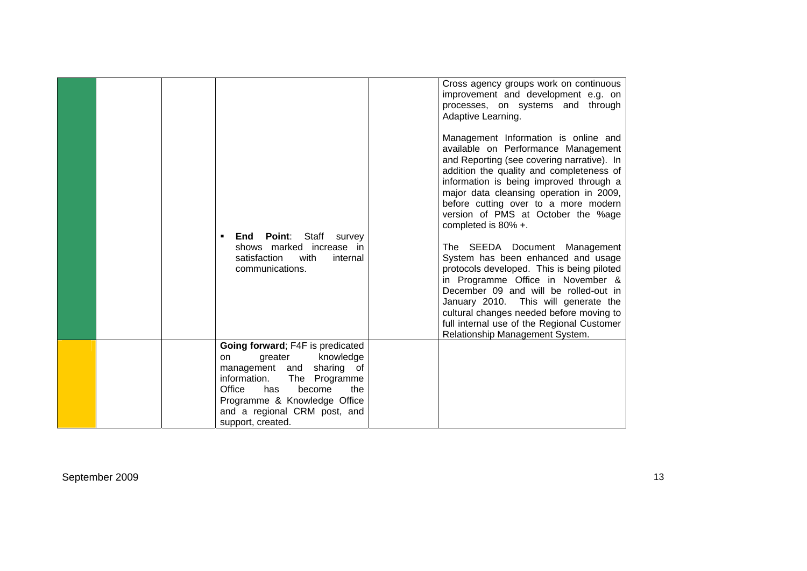|  | <b>Point:</b><br>Staff<br>End<br>survey<br>٠<br>shows marked increase in<br>satisfaction<br>with<br>internal<br>communications.                                                                                                                            | Cross agency groups work on continuous<br>improvement and development e.g. on<br>processes, on systems and through<br>Adaptive Learning.<br>Management Information is online and<br>available on Performance Management<br>and Reporting (see covering narrative). In<br>addition the quality and completeness of<br>information is being improved through a<br>major data cleansing operation in 2009,<br>before cutting over to a more modern<br>version of PMS at October the %age<br>completed is 80% +.<br>The SEEDA Document Management<br>System has been enhanced and usage<br>protocols developed. This is being piloted<br>in Programme Office in November &<br>December 09 and will be rolled-out in<br>January 2010. This will generate the<br>cultural changes needed before moving to<br>full internal use of the Regional Customer<br>Relationship Management System. |
|--|------------------------------------------------------------------------------------------------------------------------------------------------------------------------------------------------------------------------------------------------------------|--------------------------------------------------------------------------------------------------------------------------------------------------------------------------------------------------------------------------------------------------------------------------------------------------------------------------------------------------------------------------------------------------------------------------------------------------------------------------------------------------------------------------------------------------------------------------------------------------------------------------------------------------------------------------------------------------------------------------------------------------------------------------------------------------------------------------------------------------------------------------------------|
|  | Going forward; F4F is predicated<br>greater<br>knowledge<br>on.<br>sharing of<br>management and<br>information.<br>The<br>Programme<br>Office<br>become<br>has<br>the<br>Programme & Knowledge Office<br>and a regional CRM post, and<br>support, created. |                                                                                                                                                                                                                                                                                                                                                                                                                                                                                                                                                                                                                                                                                                                                                                                                                                                                                      |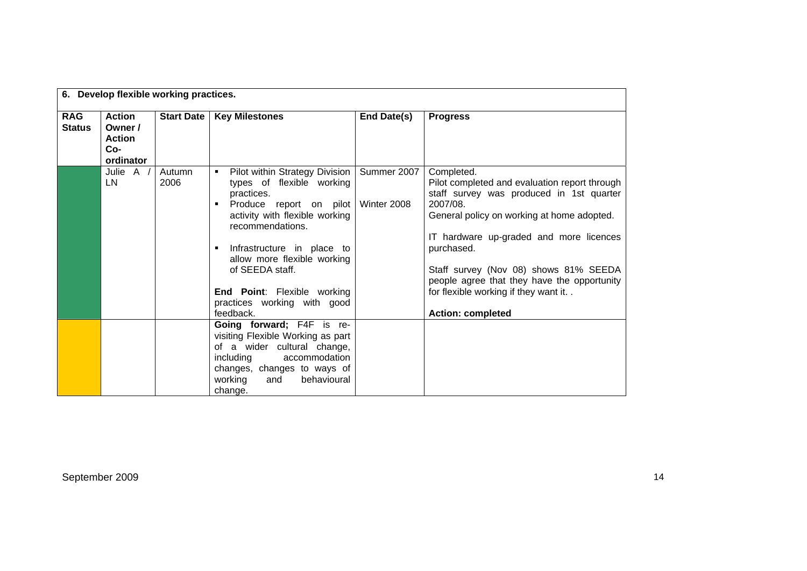|                             | 6. Develop flexible working practices.                        |                   |                                                                                                                                                                                                                                                                                                                            |                            |                                                                                                                                                                                                                                                                                                                                                                                           |  |  |
|-----------------------------|---------------------------------------------------------------|-------------------|----------------------------------------------------------------------------------------------------------------------------------------------------------------------------------------------------------------------------------------------------------------------------------------------------------------------------|----------------------------|-------------------------------------------------------------------------------------------------------------------------------------------------------------------------------------------------------------------------------------------------------------------------------------------------------------------------------------------------------------------------------------------|--|--|
| <b>RAG</b><br><b>Status</b> | <b>Action</b><br>Owner /<br><b>Action</b><br>Co-<br>ordinator | <b>Start Date</b> | <b>Key Milestones</b>                                                                                                                                                                                                                                                                                                      | End Date(s)                | <b>Progress</b>                                                                                                                                                                                                                                                                                                                                                                           |  |  |
|                             | Julie A /<br>LN.                                              | Autumn<br>2006    | Pilot within Strategy Division<br>٠<br>types of flexible working<br>practices.<br>Produce report on pilot<br>activity with flexible working<br>recommendations.<br>Infrastructure in place to<br>allow more flexible working<br>of SEEDA staff.<br>End Point: Flexible working<br>practices working with good<br>feedback. | Summer 2007<br>Winter 2008 | Completed.<br>Pilot completed and evaluation report through<br>staff survey was produced in 1st quarter<br>2007/08.<br>General policy on working at home adopted.<br>IT hardware up-graded and more licences<br>purchased.<br>Staff survey (Nov 08) shows 81% SEEDA<br>people agree that they have the opportunity<br>for flexible working if they want it. .<br><b>Action: completed</b> |  |  |
|                             |                                                               |                   | Going forward; F4F is re-<br>visiting Flexible Working as part<br>of a wider cultural change,<br>including<br>accommodation<br>changes, changes to ways of<br>working<br>behavioural<br>and<br>change.                                                                                                                     |                            |                                                                                                                                                                                                                                                                                                                                                                                           |  |  |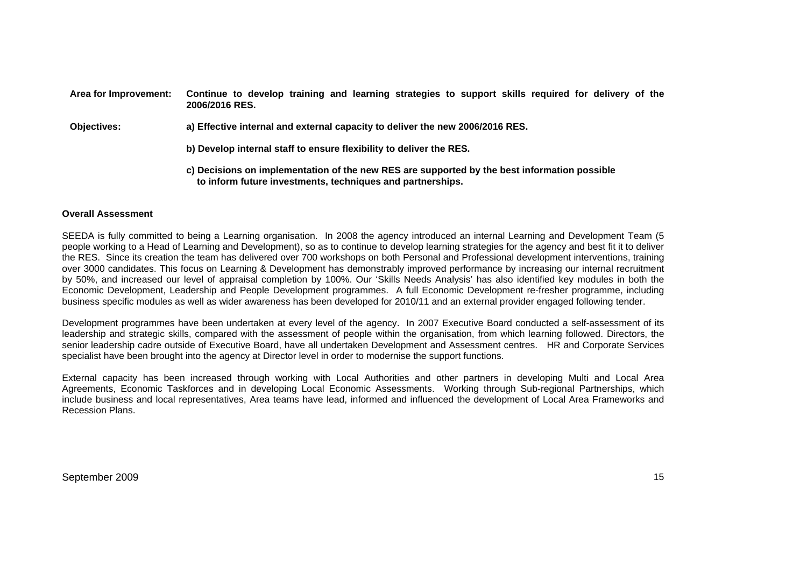| Area for Improvement: | Continue to develop training and learning strategies to support skills required for delivery of the<br>2006/2016 RES.                                      |  |  |  |  |  |  |
|-----------------------|------------------------------------------------------------------------------------------------------------------------------------------------------------|--|--|--|--|--|--|
| <b>Objectives:</b>    | a) Effective internal and external capacity to deliver the new 2006/2016 RES.                                                                              |  |  |  |  |  |  |
|                       | b) Develop internal staff to ensure flexibility to deliver the RES.                                                                                        |  |  |  |  |  |  |
|                       | c) Decisions on implementation of the new RES are supported by the best information possible<br>to inform future investments, techniques and partnerships. |  |  |  |  |  |  |

### **Overall Assessment**

SEEDA is fully committed to being a Learning organisation. In 2008 the agency introduced an internal Learning and Development Team (5 people working to a Head of Learning and Development), so as to continue to develop learning strategies for the agency and best fit it to deliver the RES. Since its creation the team has delivered over 700 workshops on both Personal and Professional development interventions, training over 3000 candidates. This focus on Learning & Development has demonstrably improved performance by increasing our internal recruitment by 50%, and increased our level of appraisal completion by 100%. Our 'Skills Needs Analysis' has also identified key modules in both the Economic Development, Leadership and People Development programmes. A full Economic Development re-fresher programme, including business specific modules as well as wider awareness has been developed for 2010/11 and an external provider engaged following tender.

Development programmes have been undertaken at every level of the agency. In 2007 Executive Board conducted a self-assessment of its leadership and strategic skills, compared with the assessment of people within the organisation, from which learning followed. Directors, the senior leadership cadre outside of Executive Board, have all undertaken Development and Assessment centres. HR and Corporate Services specialist have been brought into the agency at Director level in order to modernise the support functions.

External capacity has been increased through working with Local Authorities and other partners in developing Multi and Local Area Agreements, Economic Taskforces and in developing Local Economic Assessments. Working through Sub-regional Partnerships, which include business and local representatives, Area teams have lead, informed and influenced the development of Local Area Frameworks and Recession Plans.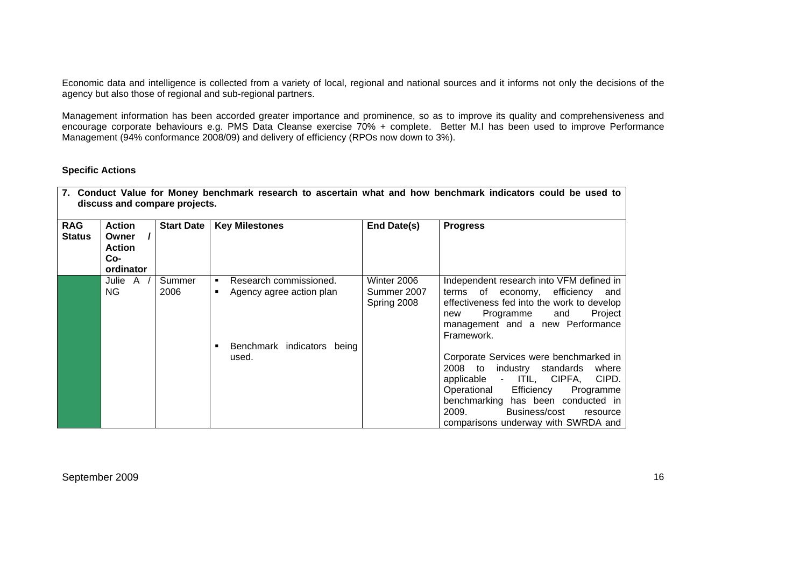Economic data and intelligence is collected from a variety of local, regional and national sources and it informs not only the decisions of the agency but also those of regional and sub-regional partners.

Management information has been accorded greater importance and prominence, so as to improve its quality and comprehensiveness and encourage corporate behaviours e.g. PMS Data Cleanse exercise 70% + complete. Better M.I has been used to improve Performance Management (94% conformance 2008/09) and delivery of efficiency (RPOs now down to 3%).

# **Specific Actions**

| <b>RAG</b><br><b>Status</b> | <b>Action</b><br>Owner<br><b>Action</b><br>Co-<br>ordinator | <b>Start Date</b> | <b>Key Milestones</b>                                        | End Date(s)                               | <b>Progress</b>                                                                                                                                                                                                                                                                        |
|-----------------------------|-------------------------------------------------------------|-------------------|--------------------------------------------------------------|-------------------------------------------|----------------------------------------------------------------------------------------------------------------------------------------------------------------------------------------------------------------------------------------------------------------------------------------|
|                             | Julie A<br>NG.                                              | Summer<br>2006    | Research commissioned.<br>٠<br>Agency agree action plan<br>٠ | Winter 2006<br>Summer 2007<br>Spring 2008 | Independent research into VFM defined in<br>terms of economy, efficiency and<br>effectiveness fed into the work to develop<br>Project<br>Programme<br>and<br>new<br>management and a new Performance<br>Framework.                                                                     |
|                             |                                                             |                   | Benchmark indicators being<br>used.                          |                                           | Corporate Services were benchmarked in<br>2008 to<br>industry standards<br>where<br>applicable -<br>ITIL, CIPFA,<br>CIPD.<br>Operational<br>Efficiency<br>Programme<br>benchmarking has been conducted in<br>2009.<br>Business/cost<br>resource<br>comparisons underway with SWRDA and |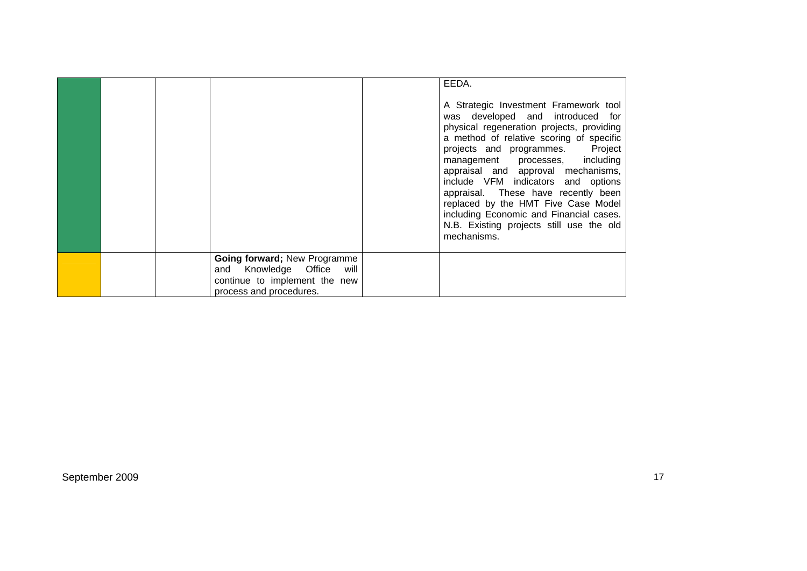|  |                                                                                                                             | EEDA.<br>A Strategic Investment Framework tool<br>was developed and introduced for<br>physical regeneration projects, providing<br>a method of relative scoring of specific<br>projects and programmes. Project<br>management processes, including<br>appraisal and approval mechanisms,<br>include VFM indicators and options<br>appraisal. These have recently been<br>replaced by the HMT Five Case Model<br>including Economic and Financial cases.<br>N.B. Existing projects still use the old<br>mechanisms. |
|--|-----------------------------------------------------------------------------------------------------------------------------|--------------------------------------------------------------------------------------------------------------------------------------------------------------------------------------------------------------------------------------------------------------------------------------------------------------------------------------------------------------------------------------------------------------------------------------------------------------------------------------------------------------------|
|  | Going forward; New Programme<br>Knowledge Office<br>will<br>and<br>continue to implement the new<br>process and procedures. |                                                                                                                                                                                                                                                                                                                                                                                                                                                                                                                    |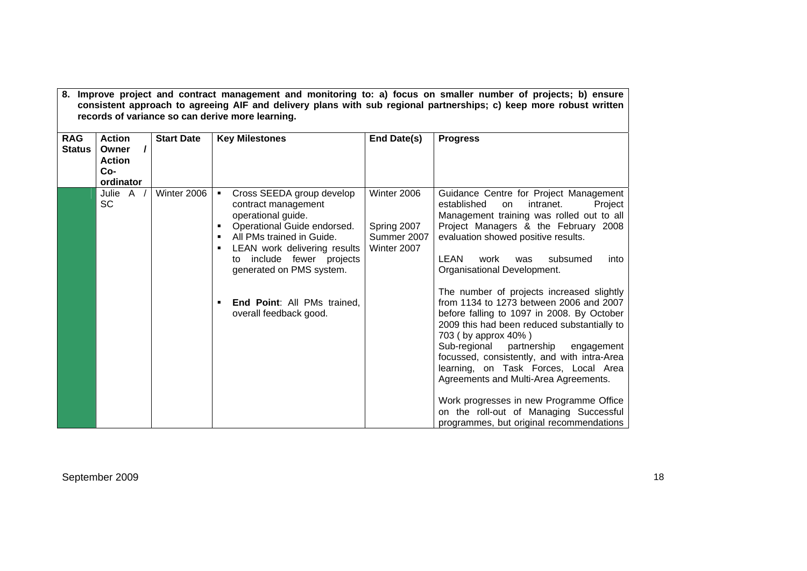|                             | 8. Improve project and contract management and monitoring to: a) focus on smaller number of projects; b) ensure<br>consistent approach to agreeing AIF and delivery plans with sub regional partnerships; c) keep more robust written<br>records of variance so can derive more learning. |                   |                                                                                                                                                                                                                                                                                                       |                                                          |                                                                                                                                                                                                                                                                                                                                                                                                                                                                                                                                                                                                                                                                                                                                                                                                                      |  |  |
|-----------------------------|-------------------------------------------------------------------------------------------------------------------------------------------------------------------------------------------------------------------------------------------------------------------------------------------|-------------------|-------------------------------------------------------------------------------------------------------------------------------------------------------------------------------------------------------------------------------------------------------------------------------------------------------|----------------------------------------------------------|----------------------------------------------------------------------------------------------------------------------------------------------------------------------------------------------------------------------------------------------------------------------------------------------------------------------------------------------------------------------------------------------------------------------------------------------------------------------------------------------------------------------------------------------------------------------------------------------------------------------------------------------------------------------------------------------------------------------------------------------------------------------------------------------------------------------|--|--|
| <b>RAG</b><br><b>Status</b> | <b>Action</b><br>Owner<br><b>Action</b><br>$Co-$<br>ordinator                                                                                                                                                                                                                             | <b>Start Date</b> | <b>Key Milestones</b>                                                                                                                                                                                                                                                                                 | End Date(s)                                              | <b>Progress</b>                                                                                                                                                                                                                                                                                                                                                                                                                                                                                                                                                                                                                                                                                                                                                                                                      |  |  |
|                             | Julie A /<br><b>SC</b>                                                                                                                                                                                                                                                                    | Winter 2006       | Cross SEEDA group develop<br>٠<br>contract management<br>operational guide.<br>Operational Guide endorsed.<br>All PMs trained in Guide.<br>LEAN work delivering results<br>to include fewer projects<br>generated on PMS system.<br><b>End Point: All PMs trained,</b><br>٠<br>overall feedback good. | Winter 2006<br>Spring 2007<br>Summer 2007<br>Winter 2007 | Guidance Centre for Project Management<br>established<br>intranet.<br>Project<br>on.<br>Management training was rolled out to all<br>Project Managers & the February 2008<br>evaluation showed positive results.<br>LEAN<br>work<br>subsumed<br>into<br>was<br>Organisational Development.<br>The number of projects increased slightly<br>from 1134 to 1273 between 2006 and 2007<br>before falling to 1097 in 2008. By October<br>2009 this had been reduced substantially to<br>703 (by approx 40%)<br>Sub-regional<br>partnership<br>engagement<br>focussed, consistently, and with intra-Area<br>learning, on Task Forces, Local Area<br>Agreements and Multi-Area Agreements.<br>Work progresses in new Programme Office<br>on the roll-out of Managing Successful<br>programmes, but original recommendations |  |  |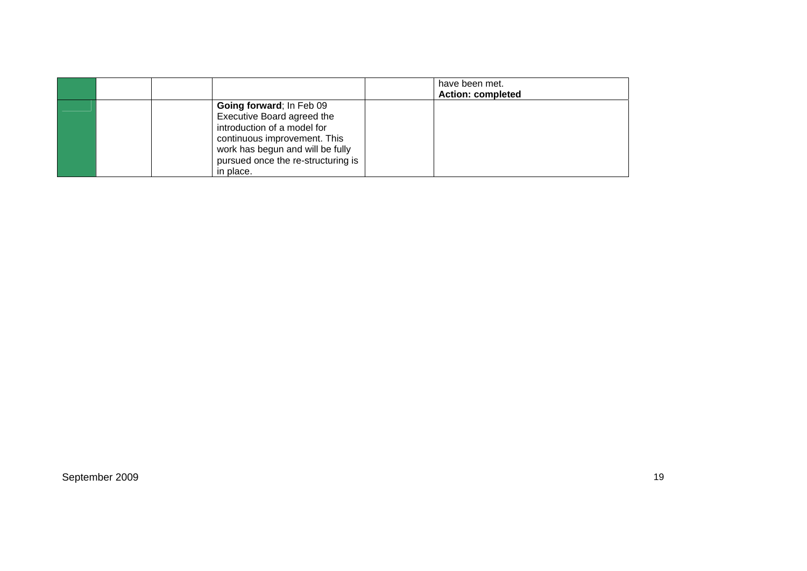|  |                                                                                                                                                                                                              | have been met.<br><b>Action: completed</b> |
|--|--------------------------------------------------------------------------------------------------------------------------------------------------------------------------------------------------------------|--------------------------------------------|
|  | Going forward; In Feb 09<br>Executive Board agreed the<br>introduction of a model for<br>continuous improvement. This<br>work has begun and will be fully<br>pursued once the re-structuring is<br>in place. |                                            |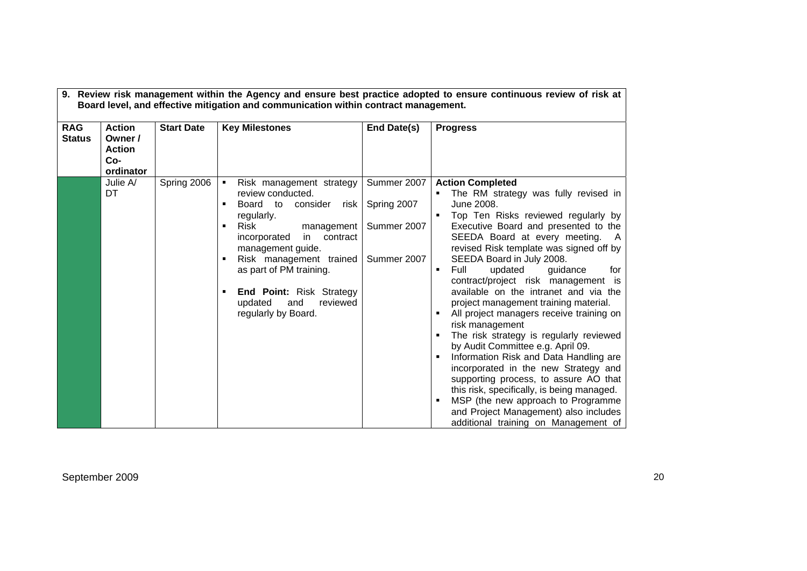| <b>RAG</b><br><b>Status</b> | <b>Action</b><br>Owner /<br><b>Action</b><br>$Co-$<br>ordinator | <b>Start Date</b> | <b>Key Milestones</b>                                                                                                                                                                                                                                                                                                        | End Date(s)                                              | <b>Progress</b>                                                                                                                                                                                                                                                                                                                                                                                                                                                                                                                                                                                                                                                                                                                                                                                                                                                                               |
|-----------------------------|-----------------------------------------------------------------|-------------------|------------------------------------------------------------------------------------------------------------------------------------------------------------------------------------------------------------------------------------------------------------------------------------------------------------------------------|----------------------------------------------------------|-----------------------------------------------------------------------------------------------------------------------------------------------------------------------------------------------------------------------------------------------------------------------------------------------------------------------------------------------------------------------------------------------------------------------------------------------------------------------------------------------------------------------------------------------------------------------------------------------------------------------------------------------------------------------------------------------------------------------------------------------------------------------------------------------------------------------------------------------------------------------------------------------|
|                             | Julie A/<br>DT                                                  | Spring 2006       | Risk management strategy<br>٠<br>review conducted.<br>Board to<br>consider<br>risk<br>regularly.<br>Risk<br>management<br>incorporated<br>contract<br>in.<br>management guide.<br>Risk management trained<br>as part of PM training.<br><b>End Point: Risk Strategy</b><br>reviewed<br>updated<br>and<br>regularly by Board. | Summer 2007<br>Spring 2007<br>Summer 2007<br>Summer 2007 | <b>Action Completed</b><br>The RM strategy was fully revised in<br>June 2008.<br>Top Ten Risks reviewed regularly by<br>Executive Board and presented to the<br>SEEDA Board at every meeting.<br>A<br>revised Risk template was signed off by<br>SEEDA Board in July 2008.<br>Full<br>updated<br>guidance<br>for<br>٠<br>contract/project risk management is<br>available on the intranet and via the<br>project management training material.<br>All project managers receive training on<br>risk management<br>The risk strategy is regularly reviewed<br>by Audit Committee e.g. April 09.<br>Information Risk and Data Handling are<br>incorporated in the new Strategy and<br>supporting process, to assure AO that<br>this risk, specifically, is being managed.<br>MSP (the new approach to Programme<br>and Project Management) also includes<br>additional training on Management of |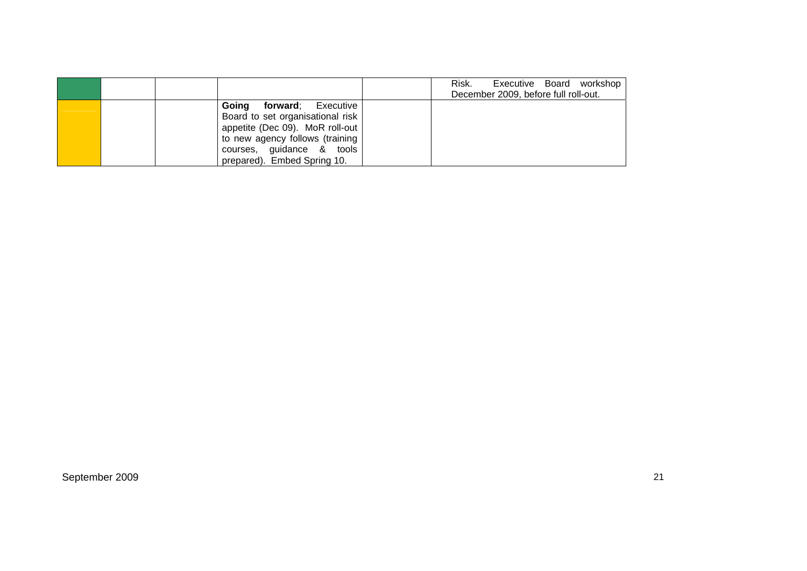|                                  | Risk.<br>Executive Board workshop<br>December 2009, before full roll-out. |
|----------------------------------|---------------------------------------------------------------------------|
| <b>Going forward</b> ; Executive |                                                                           |
| Board to set organisational risk |                                                                           |
| appetite (Dec 09). MoR roll-out  |                                                                           |
| to new agency follows (training  |                                                                           |
| courses, guidance & tools        |                                                                           |
| prepared). Embed Spring 10.      |                                                                           |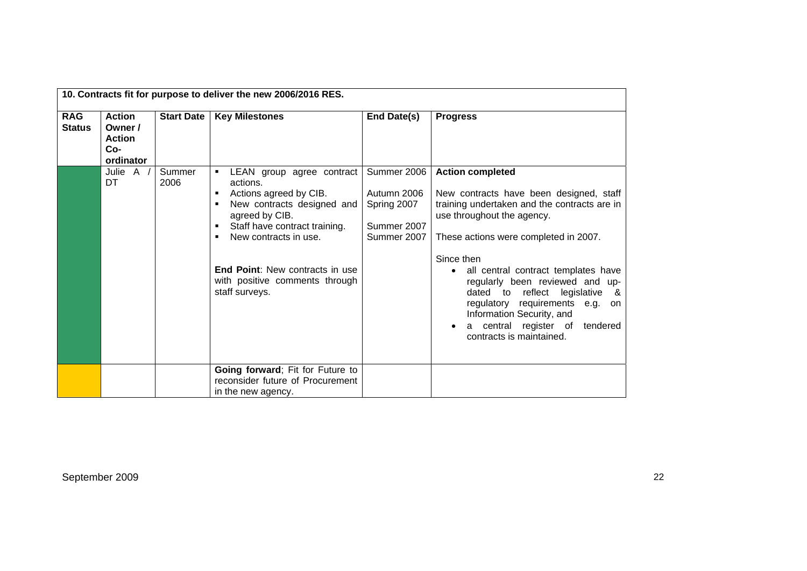|                             | 10. Contracts fit for purpose to deliver the new 2006/2016 RES. |                   |                                                                                                                                                                                                                                                                         |                                                                         |                                                                                                                                                                                                                                                                                                                                                                                                                                                              |  |
|-----------------------------|-----------------------------------------------------------------|-------------------|-------------------------------------------------------------------------------------------------------------------------------------------------------------------------------------------------------------------------------------------------------------------------|-------------------------------------------------------------------------|--------------------------------------------------------------------------------------------------------------------------------------------------------------------------------------------------------------------------------------------------------------------------------------------------------------------------------------------------------------------------------------------------------------------------------------------------------------|--|
| <b>RAG</b><br><b>Status</b> | <b>Action</b><br>Owner /<br><b>Action</b><br>$Co-$<br>ordinator | <b>Start Date</b> | <b>Key Milestones</b>                                                                                                                                                                                                                                                   | End Date(s)                                                             | <b>Progress</b>                                                                                                                                                                                                                                                                                                                                                                                                                                              |  |
|                             | Julie A<br>DT                                                   | Summer<br>2006    | LEAN group agree contract<br>actions.<br>Actions agreed by CIB.<br>New contracts designed and<br>agreed by CIB.<br>Staff have contract training.<br>New contracts in use.<br><b>End Point:</b> New contracts in use<br>with positive comments through<br>staff surveys. | Summer 2006<br>Autumn 2006<br>Spring 2007<br>Summer 2007<br>Summer 2007 | <b>Action completed</b><br>New contracts have been designed, staff<br>training undertaken and the contracts are in<br>use throughout the agency.<br>These actions were completed in 2007.<br>Since then<br>all central contract templates have<br>regularly been reviewed and up-<br>dated to reflect legislative<br>- &<br>regulatory requirements e.g.<br>on<br>Information Security, and<br>a central register of<br>tendered<br>contracts is maintained. |  |
|                             |                                                                 |                   | Going forward; Fit for Future to<br>reconsider future of Procurement<br>in the new agency.                                                                                                                                                                              |                                                                         |                                                                                                                                                                                                                                                                                                                                                                                                                                                              |  |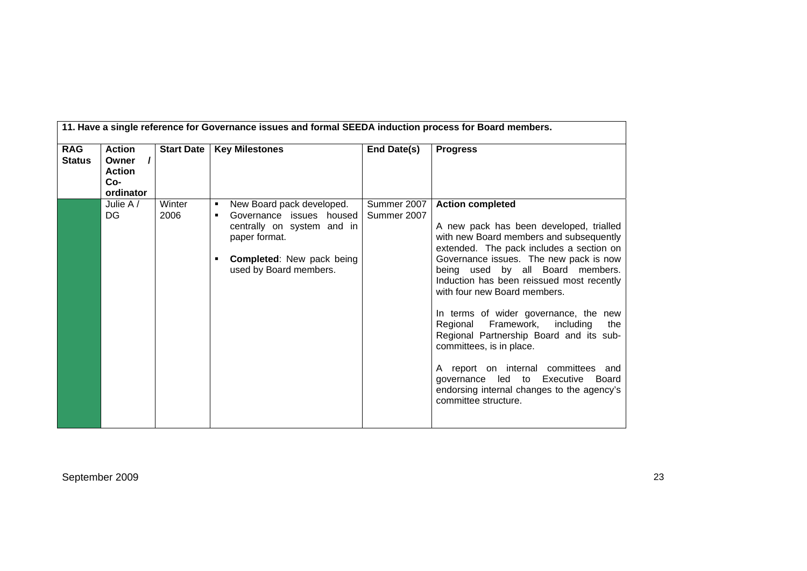|                             | 11. Have a single reference for Governance issues and formal SEEDA induction process for Board members. |                   |                                                                                                                                                                              |                            |                                                                                                                                                                                                                                                                                                                                                                                                                                                                                                                                                                                                                                     |  |  |
|-----------------------------|---------------------------------------------------------------------------------------------------------|-------------------|------------------------------------------------------------------------------------------------------------------------------------------------------------------------------|----------------------------|-------------------------------------------------------------------------------------------------------------------------------------------------------------------------------------------------------------------------------------------------------------------------------------------------------------------------------------------------------------------------------------------------------------------------------------------------------------------------------------------------------------------------------------------------------------------------------------------------------------------------------------|--|--|
| <b>RAG</b><br><b>Status</b> | <b>Action</b><br>$\prime$<br>Owner<br><b>Action</b><br>Co-<br>ordinator                                 | <b>Start Date</b> | <b>Key Milestones</b>                                                                                                                                                        | End Date(s)                | <b>Progress</b>                                                                                                                                                                                                                                                                                                                                                                                                                                                                                                                                                                                                                     |  |  |
|                             | Julie $A /$<br>DG                                                                                       | Winter<br>2006    | New Board pack developed.<br>٠<br>Governance issues housed<br>٠<br>centrally on system and in<br>paper format.<br><b>Completed:</b> New pack being<br>used by Board members. | Summer 2007<br>Summer 2007 | <b>Action completed</b><br>A new pack has been developed, trialled<br>with new Board members and subsequently<br>extended. The pack includes a section on<br>Governance issues. The new pack is now<br>being used by all Board members.<br>Induction has been reissued most recently<br>with four new Board members.<br>In terms of wider governance, the new<br>Regional Framework, including<br>the  <br>Regional Partnership Board and its sub-<br>committees, is in place.<br>A report on internal committees and<br>governance led to Executive<br>Board<br>endorsing internal changes to the agency's<br>committee structure. |  |  |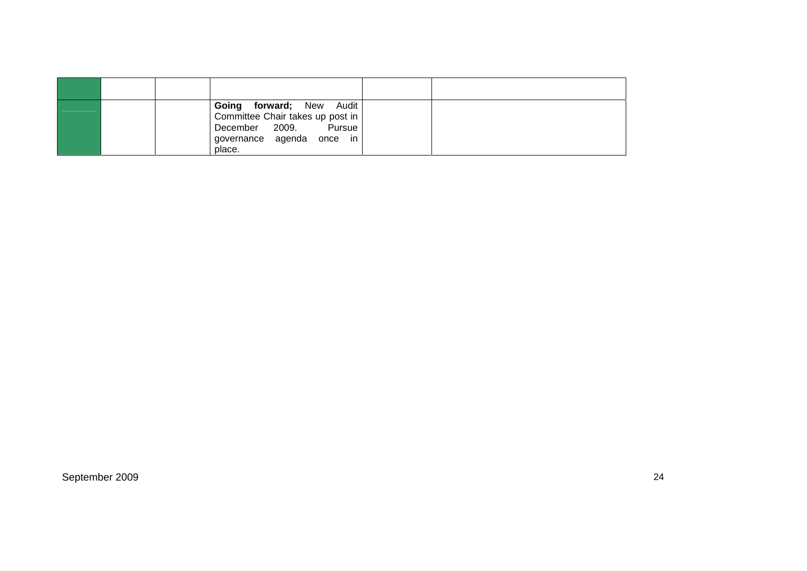|  | Going forward; New Audit<br>Committee Chair takes up post in<br>December 2009.<br>Pursue<br>governance agenda<br>once in<br>place. |  |
|--|------------------------------------------------------------------------------------------------------------------------------------|--|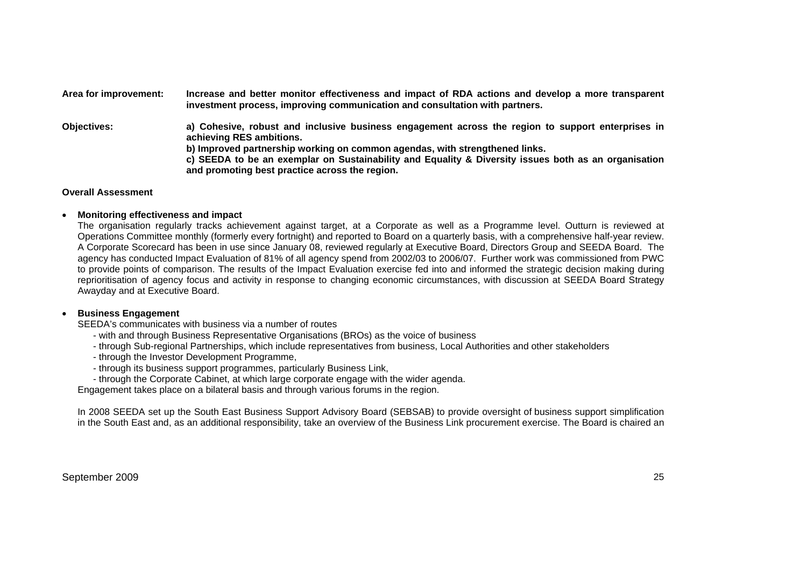**Area for improvement: Increase and better monitor effectiveness and impact of RDA actions and develop a more transparent investment process, improving communication and consultation with partners. Objectives: a) Cohesive, robust and inclusive business engagement across the region to support enterprises in achieving RES ambitions. b) Improved partnership working on common agendas, with strengthened links. c) SEEDA to be an exemplar on Sustainability and Equality & Diversity issues both as an organisation** 

### **Overall Assessment**

#### •**Monitoring effectiveness and impact**

The organisation regularly tracks achievement against target, at a Corporate as well as a Programme level. Outturn is reviewed at Operations Committee monthly (formerly every fortnight) and reported to Board on a quarterly basis, with a comprehensive half-year review. A Corporate Scorecard has been in use since January 08, reviewed regularly at Executive Board, Directors Group and SEEDA Board. The agency has conducted Impact Evaluation of 81% of all agency spend from 2002/03 to 2006/07. Further work was commissioned from PWC to provide points of comparison. The results of the Impact Evaluation exercise fed into and informed the strategic decision making during reprioritisation of agency focus and activity in response to changing economic circumstances, with discussion at SEEDA Board Strategy Awayday and at Executive Board.

#### •**Business Engagement**

SEEDA's communicates with business via a number of routes

- with and through Business Representative Organisations (BROs) as the voice of business

**and promoting best practice across the region.** 

- through Sub-regional Partnerships, which include representatives from business, Local Authorities and other stakeholders
- through the Investor Development Programme,
- through its business support programmes, particularly Business Link,
- through the Corporate Cabinet, at which large corporate engage with the wider agenda.

Engagement takes place on a bilateral basis and through various forums in the region.

In 2008 SEEDA set up the South East Business Support Advisory Board (SEBSAB) to provide oversight of business support simplification in the South East and, as an additional responsibility, take an overview of the Business Link procurement exercise. The Board is chaired an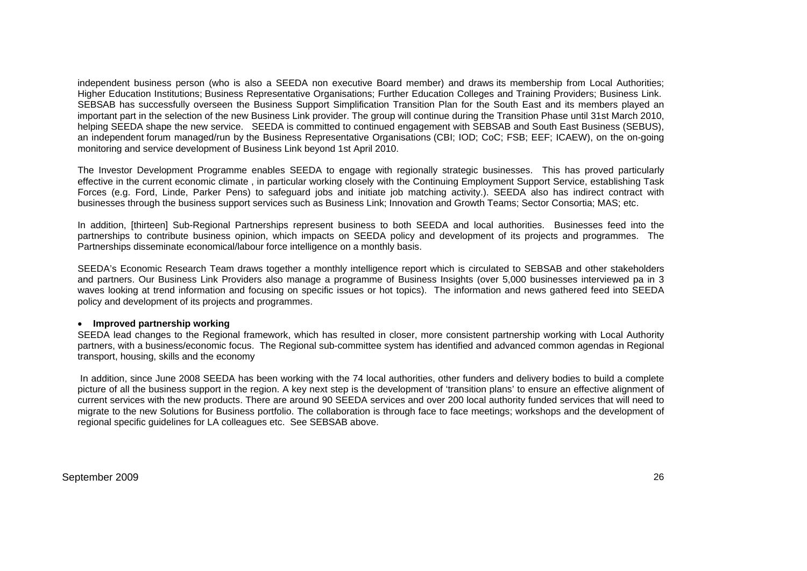independent business person (who is also a SEEDA non executive Board member) and draws its membership from Local Authorities; Higher Education Institutions; Business Representative Organisations; Further Education Colleges and Training Providers; Business Link. SEBSAB has successfully overseen the Business Support Simplification Transition Plan for the South East and its members played an important part in the selection of the new Business Link provider. The group will continue during the Transition Phase until 31st March 2010, helping SEEDA shape the new service. SEEDA is committed to continued engagement with SEBSAB and South East Business (SEBUS). an independent forum managed/run by the Business Representative Organisations (CBI; IOD; CoC; FSB; EEF; ICAEW), on the on-going monitoring and service development of Business Link beyond 1st April 2010.

The Investor Development Programme enables SEEDA to engage with regionally strategic businesses. This has proved particularly effective in the current economic climate , in particular working closely with the Continuing Employment Support Service, establishing Task Forces (e.g. Ford, Linde, Parker Pens) to safeguard jobs and initiate job matching activity.). SEEDA also has indirect contract with businesses through the business support services such as Business Link; Innovation and Growth Teams; Sector Consortia; MAS; etc.

In addition, [thirteen] Sub-Regional Partnerships represent business to both SEEDA and local authorities. Businesses feed into the partnerships to contribute business opinion, which impacts on SEEDA policy and development of its projects and programmes. The Partnerships disseminate economical/labour force intelligence on a monthly basis.

SEEDA's Economic Research Team draws together a monthly intelligence report which is circulated to SEBSAB and other stakeholders and partners. Our Business Link Providers also manage a programme of Business Insights (over 5,000 businesses interviewed pa in 3 waves looking at trend information and focusing on specific issues or hot topics). The information and news gathered feed into SEEDA policy and development of its projects and programmes.

#### • **Improved partnership working**

SEEDA lead changes to the Regional framework, which has resulted in closer, more consistent partnership working with Local Authority partners, with a business/economic focus. The Regional sub-committee system has identified and advanced common agendas in Regional transport, housing, skills and the economy

 In addition, since June 2008 SEEDA has been working with the 74 local authorities, other funders and delivery bodies to build a complete picture of all the business support in the region. A key next step is the development of 'transition plans' to ensure an effective alignment of current services with the new products. There are around 90 SEEDA services and over 200 local authority funded services that will need to migrate to the new Solutions for Business portfolio. The collaboration is through face to face meetings; workshops and the development of regional specific guidelines for LA colleagues etc. See SEBSAB above.

#### September 2009 26 and 2009 26 and 2009 26 and 2009 26 and 2009 26 and 2009 26 and 2009 26 and 2009 26 and 2009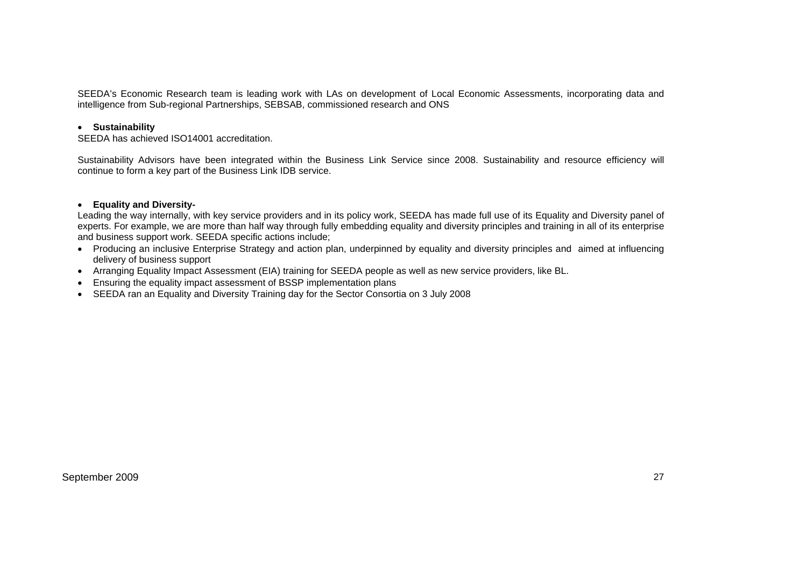SEEDA's Economic Research team is leading work with LAs on development of Local Economic Assessments, incorporating data and intelligence from Sub-regional Partnerships, SEBSAB, commissioned research and ONS

# • **Sustainability**

SEEDA has achieved ISO14001 accreditation.

Sustainability Advisors have been integrated within the Business Link Service since 2008. Sustainability and resource efficiency will continue to form a key part of the Business Link IDB service.

#### •**Equality and Diversity-**

Leading the way internally, with key service providers and in its policy work, SEEDA has made full use of its Equality and Diversity panel of experts. For example, we are more than half way through fully embedding equality and diversity principles and training in all of its enterprise and business support work. SEEDA specific actions include;

- Producing an inclusive Enterprise Strategy and action plan, underpinned by equality and diversity principles and aimed at influencing delivery of business support
- Arranging Equality Impact Assessment (EIA) training for SEEDA people as well as new service providers, like BL.
- Ensuring the equality impact assessment of BSSP implementation plans
- SEEDA ran an Equality and Diversity Training day for the Sector Consortia on 3 July 2008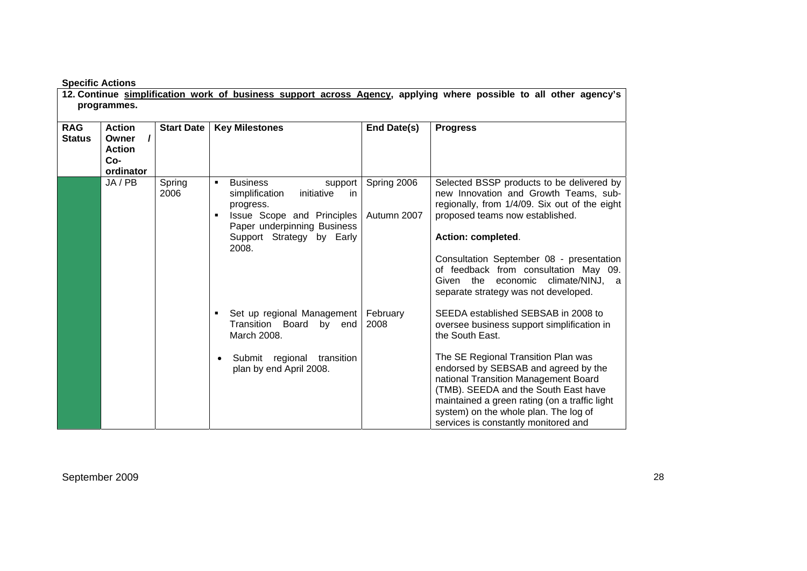| <b>Specific Actions</b> |  |
|-------------------------|--|
|-------------------------|--|

|                             | 12. Continue simplification work of business support across Agency, applying where possible to all other agency's<br>programmes. |                   |                                                                                                                                                                                   |                            |                                                                                                                                                                                                                                                                                                                                                                                                       |  |
|-----------------------------|----------------------------------------------------------------------------------------------------------------------------------|-------------------|-----------------------------------------------------------------------------------------------------------------------------------------------------------------------------------|----------------------------|-------------------------------------------------------------------------------------------------------------------------------------------------------------------------------------------------------------------------------------------------------------------------------------------------------------------------------------------------------------------------------------------------------|--|
| <b>RAG</b><br><b>Status</b> | <b>Action</b><br>Owner<br>I<br><b>Action</b><br>Co-<br>ordinator                                                                 | <b>Start Date</b> | <b>Key Milestones</b>                                                                                                                                                             | End Date(s)                | <b>Progress</b>                                                                                                                                                                                                                                                                                                                                                                                       |  |
|                             | JA / PB                                                                                                                          | Spring<br>2006    | <b>Business</b><br>support<br>simplification<br>initiative<br>-in<br>progress.<br>Issue Scope and Principles<br>Paper underpinning Business<br>Support Strategy by Early<br>2008. | Spring 2006<br>Autumn 2007 | Selected BSSP products to be delivered by<br>new Innovation and Growth Teams, sub-<br>regionally, from 1/4/09. Six out of the eight<br>proposed teams now established.<br>Action: completed.<br>Consultation September 08 - presentation<br>of feedback from consultation May 09.<br>Given the economic climate/NINJ, a<br>separate strategy was not developed.                                       |  |
|                             |                                                                                                                                  |                   | Set up regional Management<br>Transition Board by end<br>March 2008.<br>Submit regional transition<br>$\bullet$<br>plan by end April 2008.                                        | February<br>2008           | SEEDA established SEBSAB in 2008 to<br>oversee business support simplification in<br>the South East.<br>The SE Regional Transition Plan was<br>endorsed by SEBSAB and agreed by the<br>national Transition Management Board<br>(TMB). SEEDA and the South East have<br>maintained a green rating (on a traffic light<br>system) on the whole plan. The log of<br>services is constantly monitored and |  |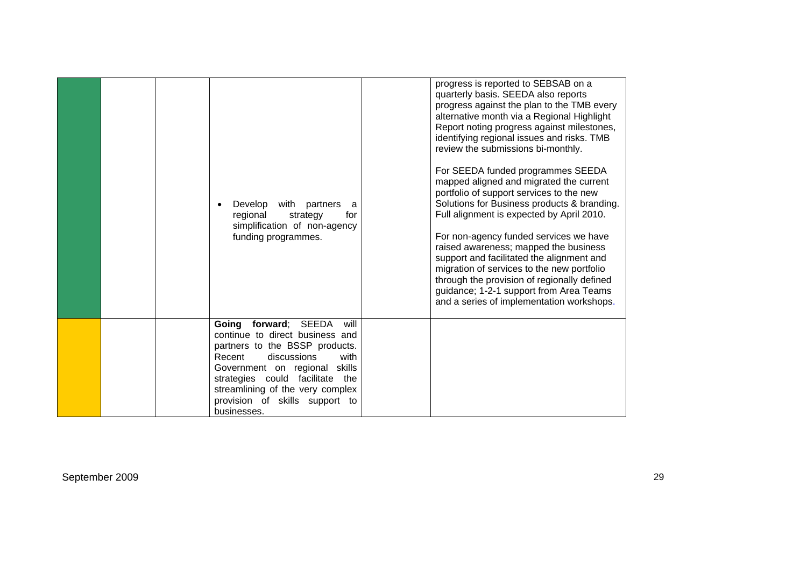|  | Develop<br>with<br>partners<br>regional<br>strategy<br>simplification of non-agency<br>funding programmes.                                                                                                                                                          | progress is reported to SEBSAB on a<br>quarterly basis. SEEDA also reports<br>progress against the plan to the TMB every<br>alternative month via a Regional Highlight<br>Report noting progress against milestones,<br>identifying regional issues and risks. TMB<br>review the submissions bi-monthly.<br>For SEEDA funded programmes SEEDA<br>mapped aligned and migrated the current<br>portfolio of support services to the new<br>Solutions for Business products & branding.<br>a<br>Full alignment is expected by April 2010.<br>for<br>For non-agency funded services we have<br>raised awareness; mapped the business<br>support and facilitated the alignment and<br>migration of services to the new portfolio<br>through the provision of regionally defined<br>guidance; 1-2-1 support from Area Teams<br>and a series of implementation workshops. |
|--|---------------------------------------------------------------------------------------------------------------------------------------------------------------------------------------------------------------------------------------------------------------------|-------------------------------------------------------------------------------------------------------------------------------------------------------------------------------------------------------------------------------------------------------------------------------------------------------------------------------------------------------------------------------------------------------------------------------------------------------------------------------------------------------------------------------------------------------------------------------------------------------------------------------------------------------------------------------------------------------------------------------------------------------------------------------------------------------------------------------------------------------------------|
|  | Going<br>forward; SEEDA<br>continue to direct business and<br>partners to the BSSP products.<br>Recent<br>discussions<br>Government on regional<br>strategies could facilitate<br>streamlining of the very complex<br>provision of skills support to<br>businesses. | will<br>with<br>skills<br>the                                                                                                                                                                                                                                                                                                                                                                                                                                                                                                                                                                                                                                                                                                                                                                                                                                     |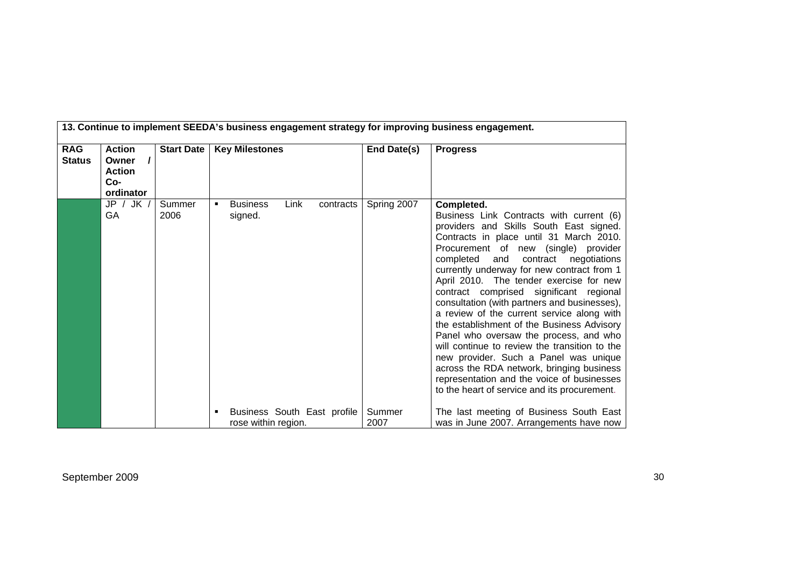|                             | 13. Continue to implement SEEDA's business engagement strategy for improving business engagement. |                   |                                                      |                |                                                                                                                                                                                                                                                                                                                                                                                                                                                                                                                                                                                                                                                                                                                                                                                               |  |  |
|-----------------------------|---------------------------------------------------------------------------------------------------|-------------------|------------------------------------------------------|----------------|-----------------------------------------------------------------------------------------------------------------------------------------------------------------------------------------------------------------------------------------------------------------------------------------------------------------------------------------------------------------------------------------------------------------------------------------------------------------------------------------------------------------------------------------------------------------------------------------------------------------------------------------------------------------------------------------------------------------------------------------------------------------------------------------------|--|--|
| <b>RAG</b><br><b>Status</b> | <b>Action</b><br>$\prime$<br>Owner<br><b>Action</b><br>Co-<br>ordinator                           | <b>Start Date</b> | <b>Key Milestones</b>                                | End Date(s)    | <b>Progress</b>                                                                                                                                                                                                                                                                                                                                                                                                                                                                                                                                                                                                                                                                                                                                                                               |  |  |
|                             | JP / JK /<br>GA                                                                                   | Summer<br>2006    | Link<br><b>Business</b><br>contracts<br>٠<br>signed. | Spring 2007    | Completed.<br>Business Link Contracts with current (6)<br>providers and Skills South East signed.<br>Contracts in place until 31 March 2010.<br>Procurement of new (single) provider<br>completed and<br>contract negotiations<br>currently underway for new contract from 1<br>April 2010. The tender exercise for new<br>contract comprised significant regional<br>consultation (with partners and businesses),<br>a review of the current service along with<br>the establishment of the Business Advisory<br>Panel who oversaw the process, and who<br>will continue to review the transition to the<br>new provider. Such a Panel was unique<br>across the RDA network, bringing business<br>representation and the voice of businesses<br>to the heart of service and its procurement. |  |  |
|                             |                                                                                                   |                   | Business South East profile<br>rose within region.   | Summer<br>2007 | The last meeting of Business South East<br>was in June 2007. Arrangements have now                                                                                                                                                                                                                                                                                                                                                                                                                                                                                                                                                                                                                                                                                                            |  |  |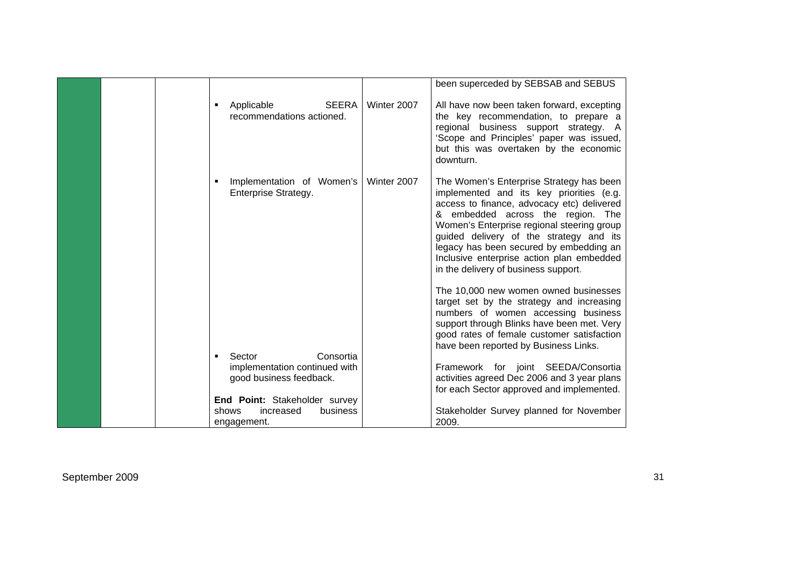|  |                                                         |             | been superceded by SEBSAB and SEBUS                                                                                                                                                                                                                                                                                                                                                              |
|--|---------------------------------------------------------|-------------|--------------------------------------------------------------------------------------------------------------------------------------------------------------------------------------------------------------------------------------------------------------------------------------------------------------------------------------------------------------------------------------------------|
|  | <b>SEERA</b><br>Applicable<br>recommendations actioned. | Winter 2007 | All have now been taken forward, excepting<br>the key recommendation, to prepare a<br>regional business support strategy. A<br>'Scope and Principles' paper was issued,<br>but this was overtaken by the economic<br>downturn.                                                                                                                                                                   |
|  | Implementation of Women's<br>Enterprise Strategy.       | Winter 2007 | The Women's Enterprise Strategy has been<br>implemented and its key priorities (e.g.<br>access to finance, advocacy etc) delivered<br>& embedded across the region. The<br>Women's Enterprise regional steering group<br>guided delivery of the strategy and its<br>legacy has been secured by embedding an<br>Inclusive enterprise action plan embedded<br>in the delivery of business support. |
|  |                                                         |             | The 10,000 new women owned businesses<br>target set by the strategy and increasing<br>numbers of women accessing business<br>support through Blinks have been met. Very<br>good rates of female customer satisfaction<br>have been reported by Business Links.                                                                                                                                   |
|  | Consortia<br>Sector                                     |             |                                                                                                                                                                                                                                                                                                                                                                                                  |
|  | implementation continued with                           |             | Framework for joint SEEDA/Consortia                                                                                                                                                                                                                                                                                                                                                              |
|  | good business feedback.                                 |             | activities agreed Dec 2006 and 3 year plans<br>for each Sector approved and implemented.                                                                                                                                                                                                                                                                                                         |
|  | End Point: Stakeholder survey                           |             |                                                                                                                                                                                                                                                                                                                                                                                                  |
|  | increased<br>business<br>shows                          |             | Stakeholder Survey planned for November                                                                                                                                                                                                                                                                                                                                                          |
|  | engagement.                                             |             | 2009.                                                                                                                                                                                                                                                                                                                                                                                            |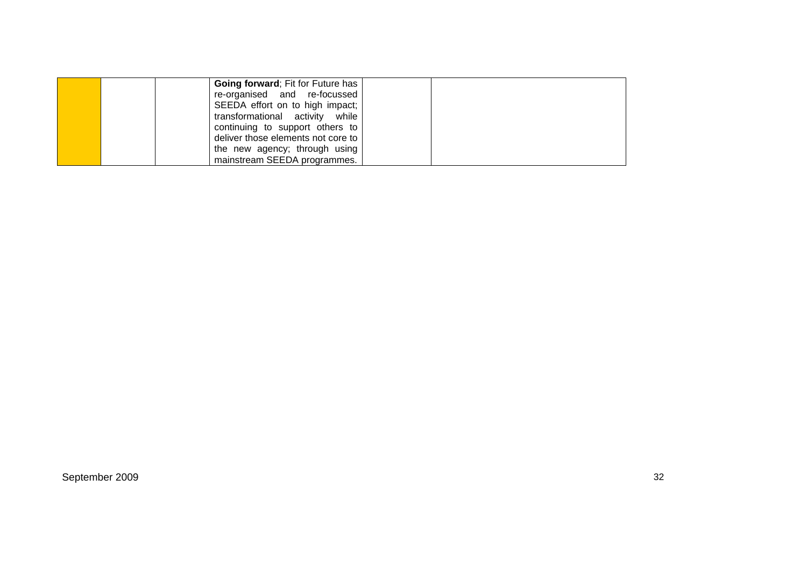|  | <b>Going forward</b> ; Fit for Future has |  |
|--|-------------------------------------------|--|
|  | re-organised and re-focussed              |  |
|  | SEEDA effort on to high impact;           |  |
|  | transformational activity while           |  |
|  | continuing to support others to           |  |
|  | deliver those elements not core to        |  |
|  | the new agency; through using             |  |
|  | mainstream SEEDA programmes.              |  |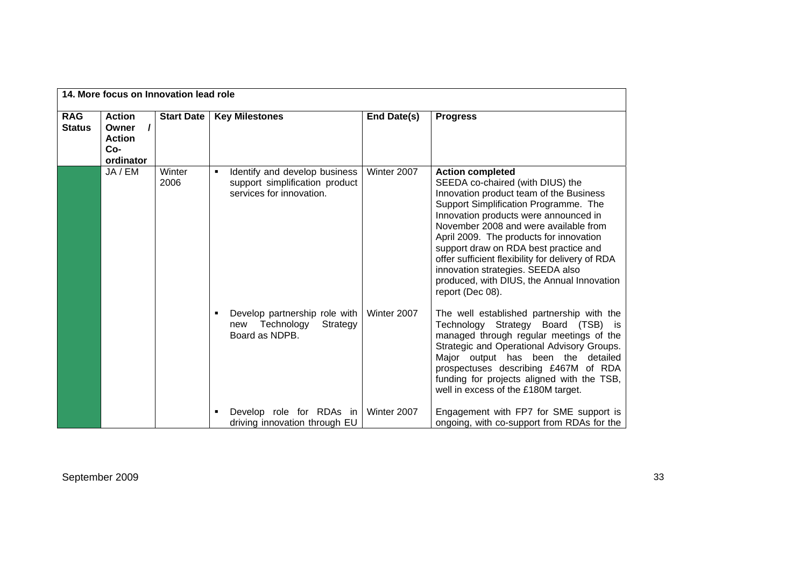|                             | 14. More focus on Innovation lead role                                    |                   |                                                                                                  |             |                                                                                                                                                                                                                                                                                                                                                                                                                                                                                  |  |  |  |
|-----------------------------|---------------------------------------------------------------------------|-------------------|--------------------------------------------------------------------------------------------------|-------------|----------------------------------------------------------------------------------------------------------------------------------------------------------------------------------------------------------------------------------------------------------------------------------------------------------------------------------------------------------------------------------------------------------------------------------------------------------------------------------|--|--|--|
| <b>RAG</b><br><b>Status</b> | <b>Action</b><br>$\prime$<br>Owner<br><b>Action</b><br>$Co-$<br>ordinator | <b>Start Date</b> | <b>Key Milestones</b>                                                                            | End Date(s) | <b>Progress</b>                                                                                                                                                                                                                                                                                                                                                                                                                                                                  |  |  |  |
|                             | JA / EM                                                                   | Winter<br>2006    | Identify and develop business<br>٠<br>support simplification product<br>services for innovation. | Winter 2007 | <b>Action completed</b><br>SEEDA co-chaired (with DIUS) the<br>Innovation product team of the Business<br>Support Simplification Programme. The<br>Innovation products were announced in<br>November 2008 and were available from<br>April 2009. The products for innovation<br>support draw on RDA best practice and<br>offer sufficient flexibility for delivery of RDA<br>innovation strategies. SEEDA also<br>produced, with DIUS, the Annual Innovation<br>report (Dec 08). |  |  |  |
|                             |                                                                           |                   | Develop partnership role with<br>Strategy<br>Technology<br>new<br>Board as NDPB.                 | Winter 2007 | The well established partnership with the<br>Technology Strategy Board (TSB) is<br>managed through regular meetings of the<br>Strategic and Operational Advisory Groups.<br>Major output has been the detailed<br>prospectuses describing £467M of RDA<br>funding for projects aligned with the TSB,<br>well in excess of the £180M target.                                                                                                                                      |  |  |  |
|                             |                                                                           |                   | Develop role for RDAs in<br>driving innovation through EU                                        | Winter 2007 | Engagement with FP7 for SME support is<br>ongoing, with co-support from RDAs for the                                                                                                                                                                                                                                                                                                                                                                                             |  |  |  |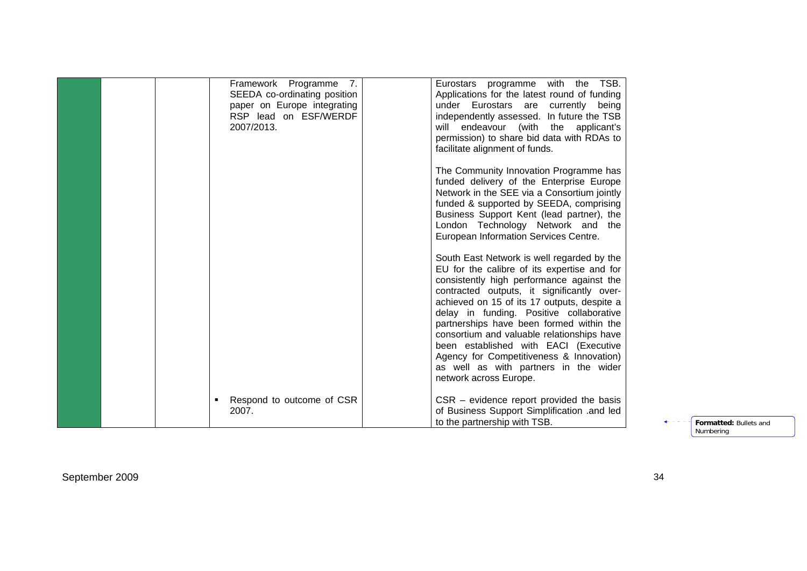|  | Framework Programme 7.<br>SEEDA co-ordinating position<br>paper on Europe integrating | TSB.<br>Eurostars programme with the<br>Applications for the latest round of funding<br>under Eurostars are currently being |                        |
|--|---------------------------------------------------------------------------------------|-----------------------------------------------------------------------------------------------------------------------------|------------------------|
|  | RSP lead on ESF/WERDF                                                                 | independently assessed. In future the TSB                                                                                   |                        |
|  | 2007/2013.                                                                            | will endeavour (with the applicant's                                                                                        |                        |
|  |                                                                                       | permission) to share bid data with RDAs to                                                                                  |                        |
|  |                                                                                       | facilitate alignment of funds.                                                                                              |                        |
|  |                                                                                       | The Community Innovation Programme has                                                                                      |                        |
|  |                                                                                       | funded delivery of the Enterprise Europe                                                                                    |                        |
|  |                                                                                       | Network in the SEE via a Consortium jointly                                                                                 |                        |
|  |                                                                                       | funded & supported by SEEDA, comprising                                                                                     |                        |
|  |                                                                                       | Business Support Kent (lead partner), the                                                                                   |                        |
|  |                                                                                       | London Technology Network and the                                                                                           |                        |
|  |                                                                                       | European Information Services Centre.                                                                                       |                        |
|  |                                                                                       | South East Network is well regarded by the                                                                                  |                        |
|  |                                                                                       | EU for the calibre of its expertise and for                                                                                 |                        |
|  |                                                                                       | consistently high performance against the                                                                                   |                        |
|  |                                                                                       | contracted outputs, it significantly over-<br>achieved on 15 of its 17 outputs, despite a                                   |                        |
|  |                                                                                       | delay in funding. Positive collaborative                                                                                    |                        |
|  |                                                                                       | partnerships have been formed within the                                                                                    |                        |
|  |                                                                                       | consortium and valuable relationships have                                                                                  |                        |
|  |                                                                                       | been established with EACI (Executive                                                                                       |                        |
|  |                                                                                       | Agency for Competitiveness & Innovation)                                                                                    |                        |
|  |                                                                                       | as well as with partners in the wider                                                                                       |                        |
|  |                                                                                       | network across Europe.                                                                                                      |                        |
|  | Respond to outcome of CSR                                                             | $CSR - evidence$ report provided the basis                                                                                  |                        |
|  | 2007.                                                                                 | of Business Support Simplification .and led                                                                                 |                        |
|  |                                                                                       | to the partnership with TSB.                                                                                                | Formatted: Bullets and |

Numbering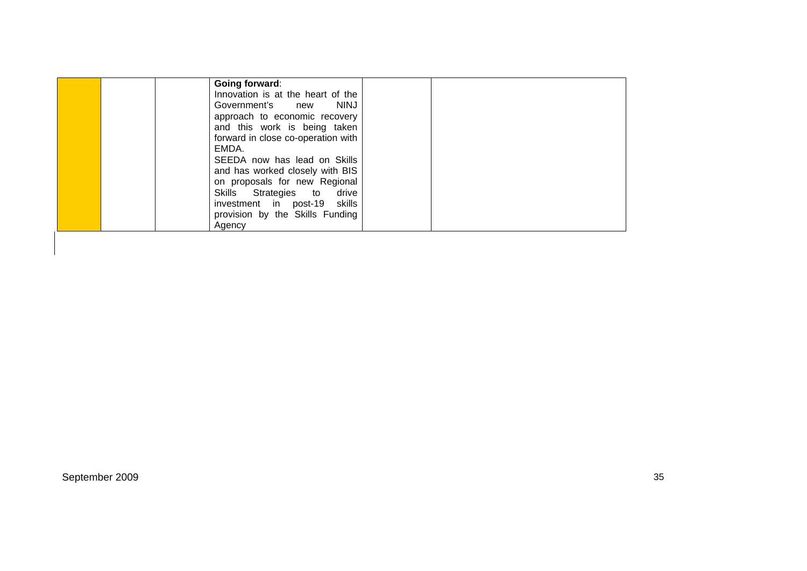| Going forward:                     |  |
|------------------------------------|--|
| Innovation is at the heart of the  |  |
| Government's new<br><b>NINJ</b>    |  |
| approach to economic recovery      |  |
| and this work is being taken       |  |
| forward in close co-operation with |  |
| EMDA.                              |  |
| SEEDA now has lead on Skills       |  |
| and has worked closely with BIS    |  |
| on proposals for new Regional      |  |
| Skills Strategies to drive         |  |
| investment in post-19 skills       |  |
| provision by the Skills Funding    |  |
| Agency                             |  |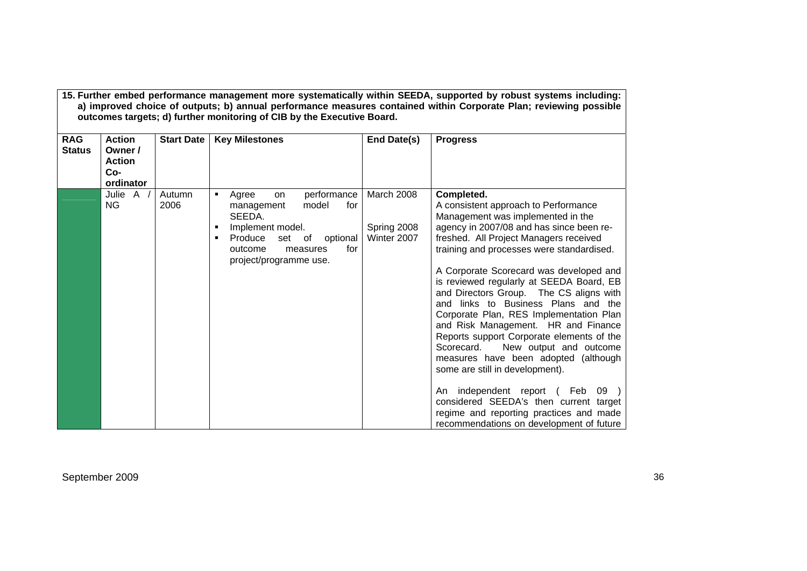| <b>RAG</b><br><b>Status</b> | <b>Action</b><br>Owner /<br><b>Action</b><br>Co-<br>ordinator | <b>Start Date</b> | <b>Key Milestones</b>                                                                                                                                                                          | End Date(s)                              | <b>Progress</b>                                                                                                                                                                                                                                                                                                                                                                                                                                                                                                                                                                                                                                                                                                                                                                                                            |
|-----------------------------|---------------------------------------------------------------|-------------------|------------------------------------------------------------------------------------------------------------------------------------------------------------------------------------------------|------------------------------------------|----------------------------------------------------------------------------------------------------------------------------------------------------------------------------------------------------------------------------------------------------------------------------------------------------------------------------------------------------------------------------------------------------------------------------------------------------------------------------------------------------------------------------------------------------------------------------------------------------------------------------------------------------------------------------------------------------------------------------------------------------------------------------------------------------------------------------|
|                             | Julie A /<br><b>NG</b>                                        | Autumn<br>2006    | performance<br>Agree<br>٠<br>on<br>model<br>management<br>for<br>SEEDA.<br>Implement model.<br>٠<br>Produce<br>set of<br>optional<br>٠<br>for<br>outcome<br>measures<br>project/programme use. | March 2008<br>Spring 2008<br>Winter 2007 | Completed.<br>A consistent approach to Performance<br>Management was implemented in the<br>agency in 2007/08 and has since been re-<br>freshed. All Project Managers received<br>training and processes were standardised.<br>A Corporate Scorecard was developed and<br>is reviewed regularly at SEEDA Board, EB<br>and Directors Group. The CS aligns with<br>and links to Business Plans and the<br>Corporate Plan, RES Implementation Plan<br>and Risk Management. HR and Finance<br>Reports support Corporate elements of the<br>New output and outcome<br>Scorecard.<br>measures have been adopted (although<br>some are still in development).<br>An independent report (Feb<br>09<br>considered SEEDA's then current target<br>regime and reporting practices and made<br>recommendations on development of future |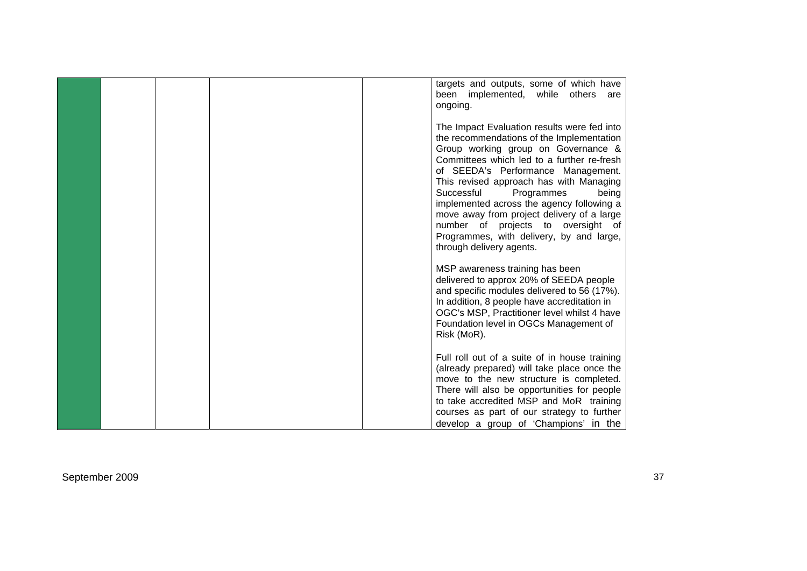|  | targets and outputs, some of which have<br>been<br>implemented, while others<br>are<br>ongoing.                                                                                                                                                                                                                                                                                                                                                                                                              |
|--|--------------------------------------------------------------------------------------------------------------------------------------------------------------------------------------------------------------------------------------------------------------------------------------------------------------------------------------------------------------------------------------------------------------------------------------------------------------------------------------------------------------|
|  | The Impact Evaluation results were fed into<br>the recommendations of the Implementation<br>Group working group on Governance &<br>Committees which led to a further re-fresh<br>of SEEDA's Performance Management.<br>This revised approach has with Managing<br>Successful<br>Programmes<br>being<br>implemented across the agency following a<br>move away from project delivery of a large<br>number of projects to oversight of<br>Programmes, with delivery, by and large,<br>through delivery agents. |
|  | MSP awareness training has been<br>delivered to approx 20% of SEEDA people<br>and specific modules delivered to 56 (17%).<br>In addition, 8 people have accreditation in<br>OGC's MSP, Practitioner level whilst 4 have<br>Foundation level in OGCs Management of<br>Risk (MoR).                                                                                                                                                                                                                             |
|  | Full roll out of a suite of in house training<br>(already prepared) will take place once the<br>move to the new structure is completed.<br>There will also be opportunities for people<br>to take accredited MSP and MoR training<br>courses as part of our strategy to further<br>develop a group of 'Champions' in the                                                                                                                                                                                     |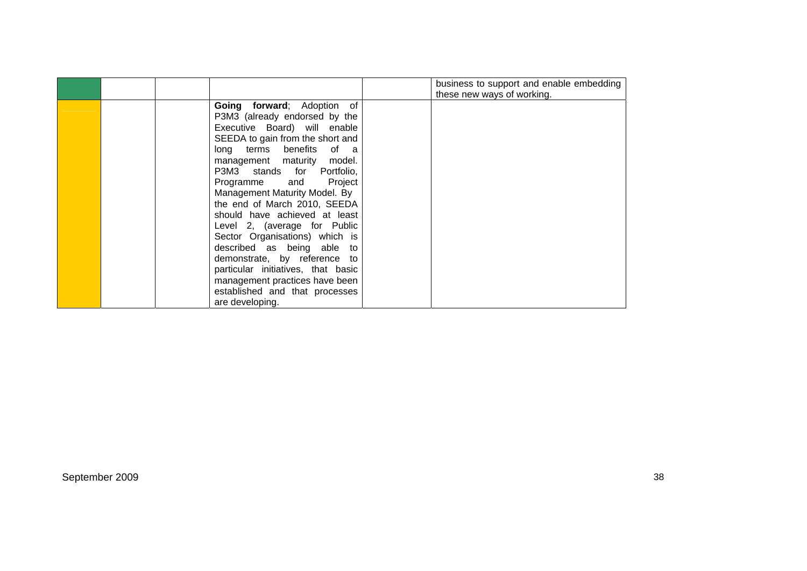|                                                                                                                                                                                                                                                                                                                                                                                                                                                                                                                                                                                                                    | business to support and enable embedding<br>these new ways of working. |
|--------------------------------------------------------------------------------------------------------------------------------------------------------------------------------------------------------------------------------------------------------------------------------------------------------------------------------------------------------------------------------------------------------------------------------------------------------------------------------------------------------------------------------------------------------------------------------------------------------------------|------------------------------------------------------------------------|
| Going forward; Adoption of<br>P3M3 (already endorsed by the<br>Executive Board) will enable<br>SEEDA to gain from the short and<br>long terms benefits of a<br>management maturity model.<br>P3M3 stands for Portfolio,<br>Programme and<br>Project<br>Management Maturity Model. By<br>the end of March 2010, SEEDA<br>should have achieved at least<br>Level 2, (average for Public<br>Sector Organisations) which is<br>described as being able to<br>demonstrate, by reference to<br>particular initiatives, that basic<br>management practices have been<br>established and that processes<br>are developing. |                                                                        |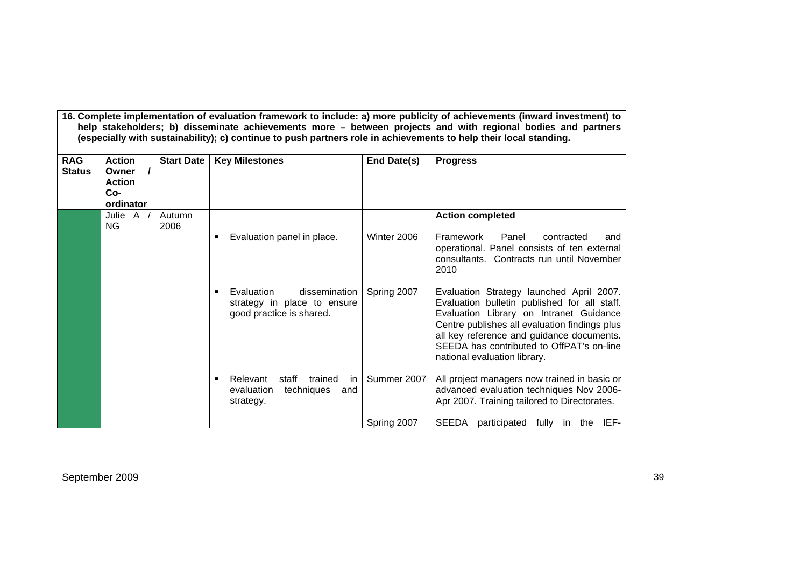| <b>RAG</b><br><b>Status</b> | <b>Action</b><br>Owner<br><b>Action</b><br>Co- | <b>Start Date</b> | (especially with sustainability); c) continue to push partners role in achievements to help their local standing.<br><b>Key Milestones</b> | End Date(s) | 16. Complete implementation of evaluation framework to include: a) more publicity of achievements (inward investment) to<br>help stakeholders; b) disseminate achievements more - between projects and with regional bodies and partners<br><b>Progress</b>                                                    |
|-----------------------------|------------------------------------------------|-------------------|--------------------------------------------------------------------------------------------------------------------------------------------|-------------|----------------------------------------------------------------------------------------------------------------------------------------------------------------------------------------------------------------------------------------------------------------------------------------------------------------|
|                             | ordinator                                      |                   |                                                                                                                                            |             |                                                                                                                                                                                                                                                                                                                |
|                             | Julie $A$ /<br><b>NG</b>                       | Autumn<br>2006    |                                                                                                                                            |             | <b>Action completed</b>                                                                                                                                                                                                                                                                                        |
|                             |                                                |                   | Evaluation panel in place.<br>٠                                                                                                            | Winter 2006 | Framework<br>Panel<br>contracted<br>and<br>operational. Panel consists of ten external<br>consultants. Contracts run until November<br>2010                                                                                                                                                                    |
|                             |                                                |                   | dissemination<br>Evaluation<br>٠<br>strategy in place to ensure<br>good practice is shared.                                                | Spring 2007 | Evaluation Strategy launched April 2007.<br>Evaluation bulletin published for all staff.<br>Evaluation Library on Intranet Guidance<br>Centre publishes all evaluation findings plus<br>all key reference and guidance documents.<br>SEEDA has contributed to OffPAT's on-line<br>national evaluation library. |
|                             |                                                |                   | Relevant<br>trained<br>staff<br>in.<br>٠<br>evaluation<br>techniques<br>and<br>strategy.                                                   | Summer 2007 | All project managers now trained in basic or<br>advanced evaluation techniques Nov 2006-<br>Apr 2007. Training tailored to Directorates.                                                                                                                                                                       |
|                             |                                                |                   |                                                                                                                                            | Spring 2007 | <b>SEEDA</b><br>participated fully in the IEF-                                                                                                                                                                                                                                                                 |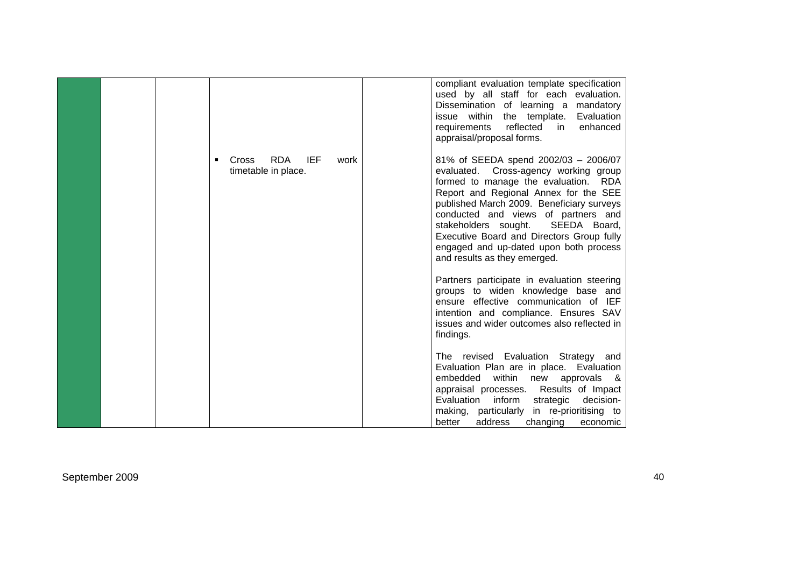|  |                                                           | compliant evaluation template specification<br>used by all staff for each evaluation.<br>Dissemination of learning a mandatory<br>issue within the template.<br>Evaluation<br>reflected<br>enhanced<br>requirements<br>in.<br>appraisal/proposal forms.                                                                                                                                                              |
|--|-----------------------------------------------------------|----------------------------------------------------------------------------------------------------------------------------------------------------------------------------------------------------------------------------------------------------------------------------------------------------------------------------------------------------------------------------------------------------------------------|
|  | <b>RDA</b><br>IEF<br>Cross<br>work<br>timetable in place. | 81% of SEEDA spend 2002/03 - 2006/07<br>Cross-agency working group<br>evaluated.<br>formed to manage the evaluation. RDA<br>Report and Regional Annex for the SEE<br>published March 2009. Beneficiary surveys<br>conducted and views of partners and<br>SEEDA Board,<br>stakeholders sought.<br>Executive Board and Directors Group fully<br>engaged and up-dated upon both process<br>and results as they emerged. |
|  |                                                           | Partners participate in evaluation steering<br>groups to widen knowledge base and<br>ensure effective communication of IEF<br>intention and compliance. Ensures SAV<br>issues and wider outcomes also reflected in<br>findings.                                                                                                                                                                                      |
|  |                                                           | The revised Evaluation Strategy and<br>Evaluation Plan are in place. Evaluation<br>within<br>embedded<br>new approvals<br>8.<br>appraisal processes. Results of Impact<br>inform<br>strategic<br>Evaluation<br>decision-<br>in re-prioritising to<br>making, particularly<br>address<br>changing<br>better<br>economic                                                                                               |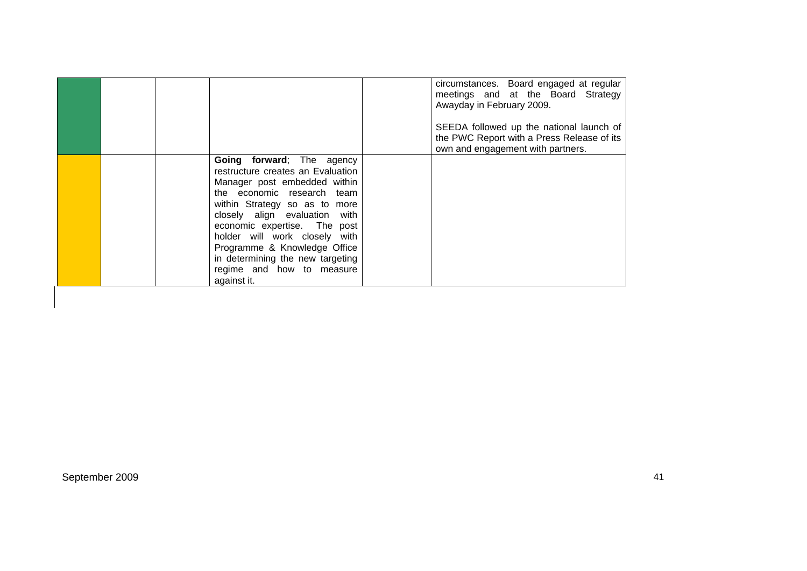|  |                                                                                                                                                                                                                                                                                                                                                                                 | circumstances. Board engaged at regular<br>meetings and at the Board Strategy<br>Awayday in February 2009.<br>SEEDA followed up the national launch of<br>the PWC Report with a Press Release of its<br>own and engagement with partners. |
|--|---------------------------------------------------------------------------------------------------------------------------------------------------------------------------------------------------------------------------------------------------------------------------------------------------------------------------------------------------------------------------------|-------------------------------------------------------------------------------------------------------------------------------------------------------------------------------------------------------------------------------------------|
|  | Going forward; The agency<br>restructure creates an Evaluation<br>Manager post embedded within<br>the economic research team<br>within Strategy so as to more<br>closely align evaluation with<br>economic expertise. The post<br>holder will work closely with<br>Programme & Knowledge Office<br>in determining the new targeting<br>regime and how to measure<br>against it. |                                                                                                                                                                                                                                           |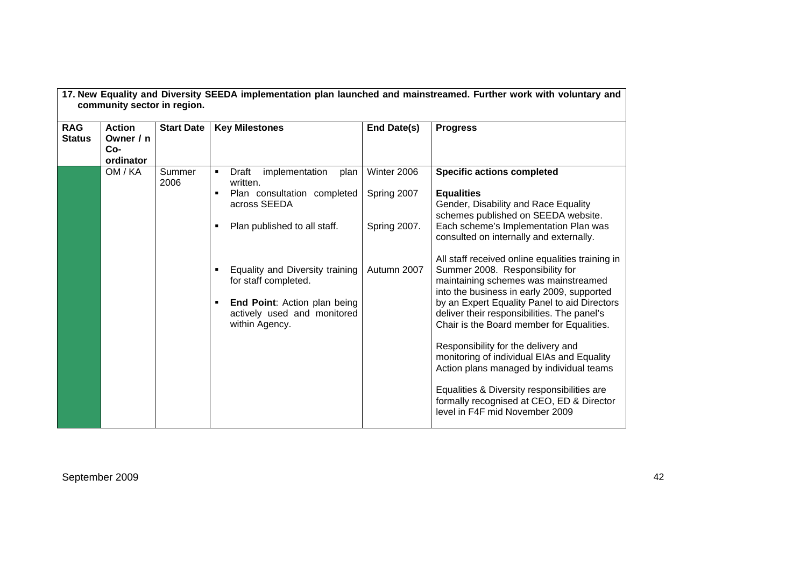| 17. New Equality and Diversity SEEDA implementation plan launched and mainstreamed. Further work with voluntary and<br>community sector in region. |                                                |                   |                                                                                                                                          |                            |                                                                                                                                                                                                                                                                                                                       |  |
|----------------------------------------------------------------------------------------------------------------------------------------------------|------------------------------------------------|-------------------|------------------------------------------------------------------------------------------------------------------------------------------|----------------------------|-----------------------------------------------------------------------------------------------------------------------------------------------------------------------------------------------------------------------------------------------------------------------------------------------------------------------|--|
| <b>RAG</b><br><b>Status</b>                                                                                                                        | <b>Action</b><br>Owner / n<br>Co-<br>ordinator | <b>Start Date</b> | <b>Key Milestones</b>                                                                                                                    | End Date(s)                | <b>Progress</b>                                                                                                                                                                                                                                                                                                       |  |
|                                                                                                                                                    | OM / KA                                        | Summer<br>2006    | Draft<br>implementation<br>plan<br>$\blacksquare$<br>written.<br>Plan consultation completed                                             | Winter 2006<br>Spring 2007 | <b>Specific actions completed</b><br><b>Equalities</b>                                                                                                                                                                                                                                                                |  |
|                                                                                                                                                    |                                                |                   | across SEEDA<br>Plan published to all staff.                                                                                             | Spring 2007.               | Gender, Disability and Race Equality<br>schemes published on SEEDA website.<br>Each scheme's Implementation Plan was<br>consulted on internally and externally.                                                                                                                                                       |  |
|                                                                                                                                                    |                                                |                   | Equality and Diversity training<br>for staff completed.<br>End Point: Action plan being<br>actively used and monitored<br>within Agency. | Autumn 2007                | All staff received online equalities training in<br>Summer 2008. Responsibility for<br>maintaining schemes was mainstreamed<br>into the business in early 2009, supported<br>by an Expert Equality Panel to aid Directors<br>deliver their responsibilities. The panel's<br>Chair is the Board member for Equalities. |  |
|                                                                                                                                                    |                                                |                   |                                                                                                                                          |                            | Responsibility for the delivery and<br>monitoring of individual EIAs and Equality<br>Action plans managed by individual teams                                                                                                                                                                                         |  |
|                                                                                                                                                    |                                                |                   |                                                                                                                                          |                            | Equalities & Diversity responsibilities are<br>formally recognised at CEO, ED & Director<br>level in F4F mid November 2009                                                                                                                                                                                            |  |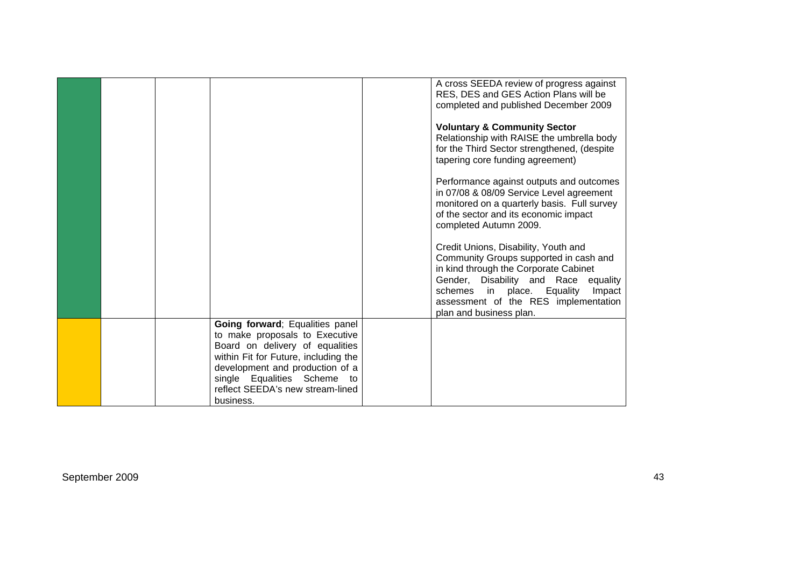|  |                                                                         | A cross SEEDA review of progress against<br>RES, DES and GES Action Plans will be<br>completed and published December 2009<br><b>Voluntary &amp; Community Sector</b><br>Relationship with RAISE the umbrella body<br>for the Third Sector strengthened, (despite<br>tapering core funding agreement)<br>Performance against outputs and outcomes<br>in 07/08 & 08/09 Service Level agreement<br>monitored on a quarterly basis. Full survey<br>of the sector and its economic impact<br>completed Autumn 2009.<br>Credit Unions, Disability, Youth and |
|--|-------------------------------------------------------------------------|---------------------------------------------------------------------------------------------------------------------------------------------------------------------------------------------------------------------------------------------------------------------------------------------------------------------------------------------------------------------------------------------------------------------------------------------------------------------------------------------------------------------------------------------------------|
|  |                                                                         | Community Groups supported in cash and<br>in kind through the Corporate Cabinet<br>Gender, Disability and Race<br>equality<br>schemes in place. Equality<br>Impact<br>assessment of the RES implementation<br>plan and business plan.                                                                                                                                                                                                                                                                                                                   |
|  | Going forward; Equalities panel<br>to make proposals to Executive       |                                                                                                                                                                                                                                                                                                                                                                                                                                                                                                                                                         |
|  | Board on delivery of equalities                                         |                                                                                                                                                                                                                                                                                                                                                                                                                                                                                                                                                         |
|  | within Fit for Future, including the<br>development and production of a |                                                                                                                                                                                                                                                                                                                                                                                                                                                                                                                                                         |
|  | single Equalities Scheme to                                             |                                                                                                                                                                                                                                                                                                                                                                                                                                                                                                                                                         |
|  | reflect SEEDA's new stream-lined<br>business.                           |                                                                                                                                                                                                                                                                                                                                                                                                                                                                                                                                                         |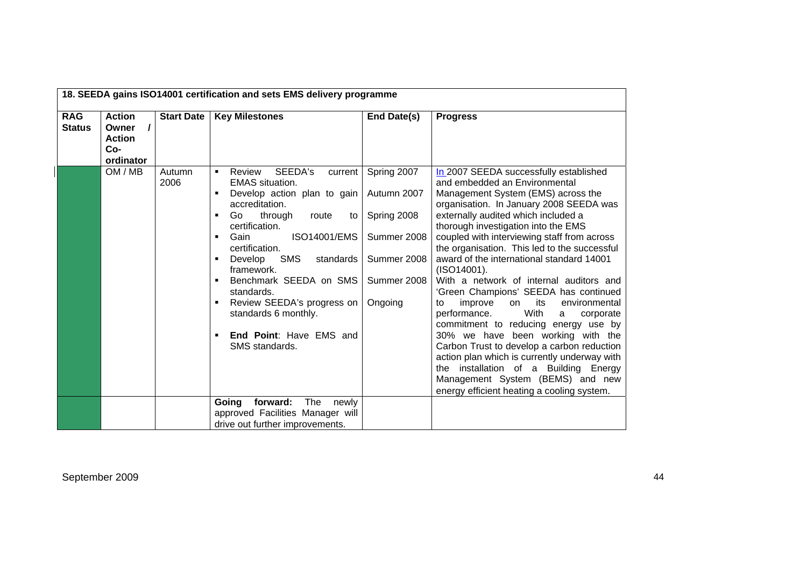| 18. SEEDA gains ISO14001 certification and sets EMS delivery programme |                                                                         |                   |                                                                                                                                                                                                                                                                                                                                                                                                                   |                                                                                                   |                                                                                                                                                                                                                                                                                                                                                                                                                                                                                                                                                                                                                                                                                                                                                                                                                                                                                      |
|------------------------------------------------------------------------|-------------------------------------------------------------------------|-------------------|-------------------------------------------------------------------------------------------------------------------------------------------------------------------------------------------------------------------------------------------------------------------------------------------------------------------------------------------------------------------------------------------------------------------|---------------------------------------------------------------------------------------------------|--------------------------------------------------------------------------------------------------------------------------------------------------------------------------------------------------------------------------------------------------------------------------------------------------------------------------------------------------------------------------------------------------------------------------------------------------------------------------------------------------------------------------------------------------------------------------------------------------------------------------------------------------------------------------------------------------------------------------------------------------------------------------------------------------------------------------------------------------------------------------------------|
| <b>RAG</b><br><b>Status</b>                                            | <b>Action</b><br>$\prime$<br>Owner<br><b>Action</b><br>Co-<br>ordinator | <b>Start Date</b> | <b>Key Milestones</b>                                                                                                                                                                                                                                                                                                                                                                                             | End Date(s)                                                                                       | <b>Progress</b>                                                                                                                                                                                                                                                                                                                                                                                                                                                                                                                                                                                                                                                                                                                                                                                                                                                                      |
|                                                                        | OM / MB                                                                 | Autumn<br>2006    | SEEDA's<br>Review<br>current<br>٠<br><b>EMAS</b> situation.<br>Develop action plan to gain<br>accreditation.<br>Go<br>through<br>route<br>٠<br>to<br>certification.<br><b>ISO14001/EMS</b><br>Gain<br>٠<br>certification.<br>SMS<br>Develop<br>standards<br>framework.<br>Benchmark SEEDA on SMS<br>standards.<br>Review SEEDA's progress on<br>standards 6 monthly.<br>End Point: Have EMS and<br>SMS standards. | Spring 2007<br>Autumn 2007<br>Spring 2008<br>Summer 2008<br>Summer 2008<br>Summer 2008<br>Ongoing | In 2007 SEEDA successfully established<br>and embedded an Environmental<br>Management System (EMS) across the<br>organisation. In January 2008 SEEDA was<br>externally audited which included a<br>thorough investigation into the EMS<br>coupled with interviewing staff from across<br>the organisation. This led to the successful<br>award of the international standard 14001<br>(ISO14001).<br>With a network of internal auditors and<br>'Green Champions' SEEDA has continued<br>its<br>improve<br>environmental<br>on<br>to<br>With<br>performance.<br>corporate<br>a<br>commitment to reducing energy use by<br>30% we have been working with the<br>Carbon Trust to develop a carbon reduction<br>action plan which is currently underway with<br>the installation of a Building Energy<br>Management System (BEMS) and new<br>energy efficient heating a cooling system. |
|                                                                        |                                                                         |                   | The<br>Going<br>forward:<br>newly<br>approved Facilities Manager will<br>drive out further improvements.                                                                                                                                                                                                                                                                                                          |                                                                                                   |                                                                                                                                                                                                                                                                                                                                                                                                                                                                                                                                                                                                                                                                                                                                                                                                                                                                                      |